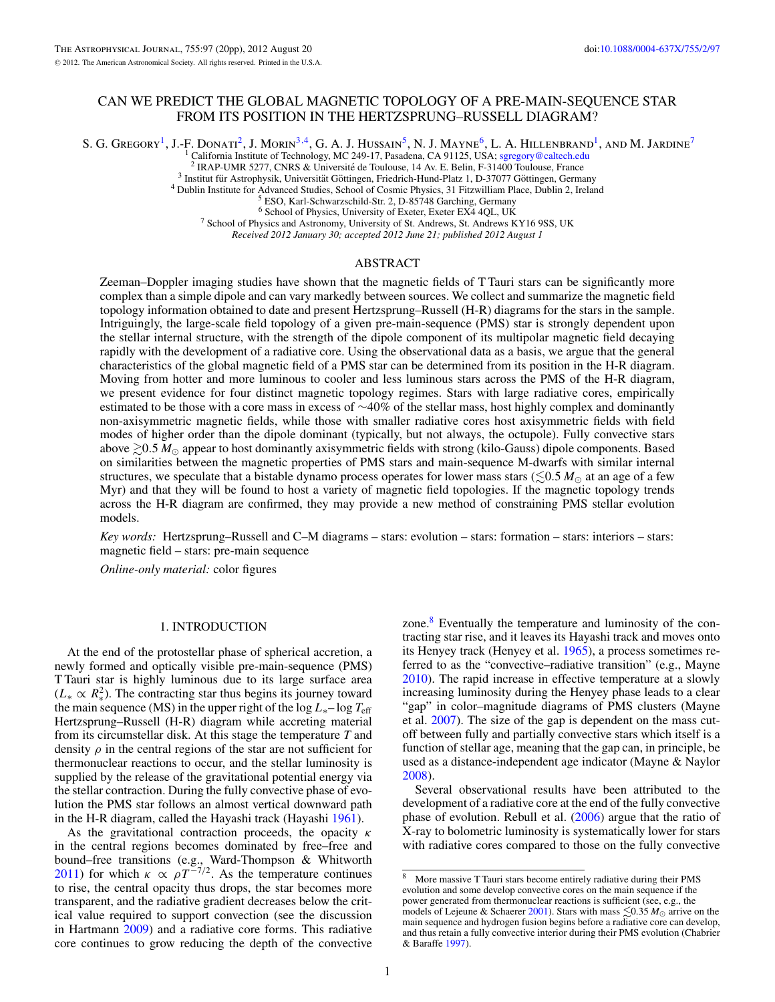# <span id="page-0-0"></span>CAN WE PREDICT THE GLOBAL MAGNETIC TOPOLOGY OF A PRE-MAIN-SEQUENCE STAR FROM ITS POSITION IN THE HERTZSPRUNG–RUSSELL DIAGRAM?

S. G. GREGORY<sup>1</sup>, J.-F. DONATI<sup>2</sup>, J. MORIN<sup>3,4</sup>, G. A. J. HUSSAIN<sup>5</sup>, N. J. MAYNE<sup>6</sup>, L. A. HILLENBRAND<sup>1</sup>, AND M. JARDINE<sup>7</sup><br><sup>1</sup> California Institute of Technology, MC 249-17, Pasadena, CA 91125, USA; sgregory@caltech.ed

<sup>2</sup> IRAP-UMR 5277, CNRS & Université de Toulouse, 14 Av. E. Belin, F-31400 Toulouse, France <sup>3</sup> Institut für Astrophysik, Universität Göttingen, Friedrich-Hund-Platz 1, D-37077 Göttingen, Germany <sup>4</sup> Dublin Institute for

 $^7$  School of Physics and Astronomy, University of St. Andrews, St. Andrews KY16 9SS, UK

*Received 2012 January 30; accepted 2012 June 21; published 2012 August 1*

## ABSTRACT

Zeeman–Doppler imaging studies have shown that the magnetic fields of T Tauri stars can be significantly more complex than a simple dipole and can vary markedly between sources. We collect and summarize the magnetic field topology information obtained to date and present Hertzsprung–Russell (H-R) diagrams for the stars in the sample. Intriguingly, the large-scale field topology of a given pre-main-sequence (PMS) star is strongly dependent upon the stellar internal structure, with the strength of the dipole component of its multipolar magnetic field decaying rapidly with the development of a radiative core. Using the observational data as a basis, we argue that the general characteristics of the global magnetic field of a PMS star can be determined from its position in the H-R diagram. Moving from hotter and more luminous to cooler and less luminous stars across the PMS of the H-R diagram, we present evidence for four distinct magnetic topology regimes. Stars with large radiative cores, empirically estimated to be those with a core mass in excess of ∼40% of the stellar mass, host highly complex and dominantly non-axisymmetric magnetic fields, while those with smaller radiative cores host axisymmetric fields with field modes of higher order than the dipole dominant (typically, but not always, the octupole). Fully convective stars above  $\gtrsim 0.5 M_{\odot}$  appear to host dominantly axisymmetric fields with strong (kilo-Gauss) dipole components. Based on similarities between the magnetic properties of PMS stars and main-sequence M-dwarfs with similar internal structures, we speculate that a bistable dynamo process operates for lower mass stars ( $\leq 0.5 M_{\odot}$  at an age of a few Myr) and that they will be found to host a variety of magnetic field topologies. If the magnetic topology trends across the H-R diagram are confirmed, they may provide a new method of constraining PMS stellar evolution models.

*Key words:* Hertzsprung–Russell and C–M diagrams – stars: evolution – stars: formation – stars: interiors – stars: magnetic field – stars: pre-main sequence

*Online-only material:* color figures

# 1. INTRODUCTION

At the end of the protostellar phase of spherical accretion, a newly formed and optically visible pre-main-sequence (PMS) T Tauri star is highly luminous due to its large surface area  $(L_* \propto R_*^2)$ . The contracting star thus begins its journey toward the main sequence (MS) in the upper right of the  $\log L_* - \log T_{\text{eff}}$ Hertzsprung–Russell (H-R) diagram while accreting material from its circumstellar disk. At this stage the temperature *T* and density  $\rho$  in the central regions of the star are not sufficient for thermonuclear reactions to occur, and the stellar luminosity is supplied by the release of the gravitational potential energy via the stellar contraction. During the fully convective phase of evolution the PMS star follows an almost vertical downward path in the H-R diagram, called the Hayashi track (Hayashi [1961\)](#page-18-0).

As the gravitational contraction proceeds, the opacity *κ* in the central regions becomes dominated by free–free and bound–free transitions (e.g., Ward-Thompson & Whitworth [2011\)](#page-19-0) for which  $\kappa \propto \rho T^{-7/2}$ . As the temperature continues to rise, the central opacity thus drops, the star becomes more transparent, and the radiative gradient decreases below the critical value required to support convection (see the discussion in Hartmann [2009\)](#page-18-0) and a radiative core forms. This radiative core continues to grow reducing the depth of the convective

zone.<sup>8</sup> Eventually the temperature and luminosity of the contracting star rise, and it leaves its Hayashi track and moves onto its Henyey track (Henyey et al. [1965\)](#page-18-0), a process sometimes referred to as the "convective–radiative transition" (e.g., Mayne [2010\)](#page-18-0). The rapid increase in effective temperature at a slowly increasing luminosity during the Henyey phase leads to a clear "gap" in color–magnitude diagrams of PMS clusters (Mayne et al. [2007\)](#page-18-0). The size of the gap is dependent on the mass cutoff between fully and partially convective stars which itself is a function of stellar age, meaning that the gap can, in principle, be used as a distance-independent age indicator (Mayne & Naylor [2008\)](#page-18-0).

Several observational results have been attributed to the development of a radiative core at the end of the fully convective phase of evolution. Rebull et al. [\(2006\)](#page-19-0) argue that the ratio of X-ray to bolometric luminosity is systematically lower for stars with radiative cores compared to those on the fully convective

<sup>8</sup> More massive T Tauri stars become entirely radiative during their PMS evolution and some develop convective cores on the main sequence if the power generated from thermonuclear reactions is sufficient (see, e.g., the models of Lejeune & Schaerer [2001\)](#page-18-0). Stars with mass  $\leq 0.35 M_{\odot}$  arrive on the main sequence and hydrogen fusion begins before a radiative core can develop, and thus retain a fully convective interior during their PMS evolution (Chabrier & Baraffe [1997\)](#page-18-0).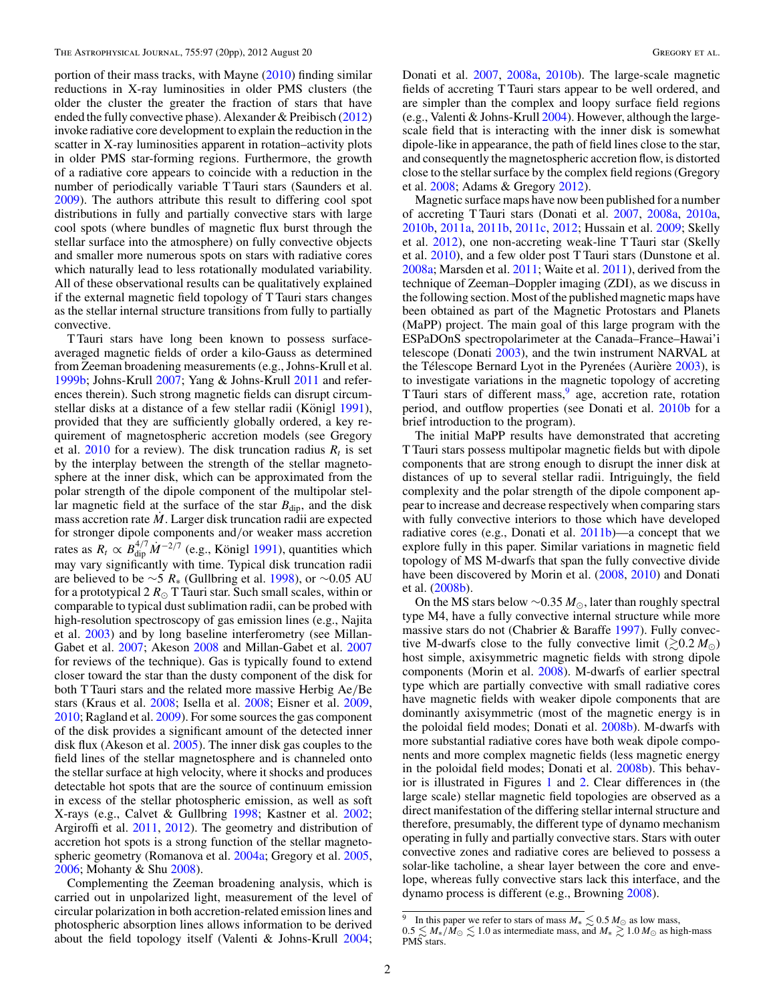portion of their mass tracks, with Mayne [\(2010\)](#page-18-0) finding similar reductions in X-ray luminosities in older PMS clusters (the older the cluster the greater the fraction of stars that have ended the fully convective phase). Alexander & Preibisch [\(2012\)](#page-18-0) invoke radiative core development to explain the reduction in the scatter in X-ray luminosities apparent in rotation–activity plots in older PMS star-forming regions. Furthermore, the growth of a radiative core appears to coincide with a reduction in the number of periodically variable T Tauri stars (Saunders et al. [2009\)](#page-19-0). The authors attribute this result to differing cool spot distributions in fully and partially convective stars with large cool spots (where bundles of magnetic flux burst through the stellar surface into the atmosphere) on fully convective objects and smaller more numerous spots on stars with radiative cores which naturally lead to less rotationally modulated variability. All of these observational results can be qualitatively explained if the external magnetic field topology of T Tauri stars changes as the stellar internal structure transitions from fully to partially convective.

T Tauri stars have long been known to possess surfaceaveraged magnetic fields of order a kilo-Gauss as determined from Zeeman broadening measurements (e.g., Johns-Krull et al. [1999b;](#page-18-0) Johns-Krull [2007;](#page-18-0) Yang & Johns-Krull [2011](#page-19-0) and references therein). Such strong magnetic fields can disrupt circum-stellar disks at a distance of a few stellar radii (Königl [1991\)](#page-18-0), provided that they are sufficiently globally ordered, a key requirement of magnetospheric accretion models (see Gregory et al.  $2010$  for a review). The disk truncation radius  $R_t$  is set by the interplay between the strength of the stellar magnetosphere at the inner disk, which can be approximated from the polar strength of the dipole component of the multipolar stellar magnetic field at the surface of the star  $B_{\text{dip}}$ , and the disk mass accretion rate *M*. Larger disk truncation radii are expected for stronger dipole components and*/*or weaker mass accretion rates as  $R_t \propto B_{\text{dip}}^{4/7} \dot{M}^{-2/7}$  (e.g., Königl [1991\)](#page-18-0), quantities which may vary significantly with time. Typical disk truncation radii are believed to be ∼5 *R*<sup>∗</sup> (Gullbring et al. [1998\)](#page-18-0), or ∼0.05 AU for a prototypical  $2 R_{\odot}$  T Tauri star. Such small scales, within or comparable to typical dust sublimation radii, can be probed with high-resolution spectroscopy of gas emission lines (e.g., Najita et al. [2003\)](#page-18-0) and by long baseline interferometry (see Millan-Gabet et al. [2007;](#page-18-0) Akeson [2008](#page-18-0) and Millan-Gabet et al. [2007](#page-18-0) for reviews of the technique). Gas is typically found to extend closer toward the star than the dusty component of the disk for both T Tauri stars and the related more massive Herbig Ae*/*Be stars (Kraus et al. [2008;](#page-18-0) Isella et al. [2008;](#page-18-0) Eisner et al. [2009,](#page-18-0) [2010;](#page-18-0) Ragland et al. [2009\)](#page-19-0). For some sources the gas component of the disk provides a significant amount of the detected inner disk flux (Akeson et al. [2005\)](#page-18-0). The inner disk gas couples to the field lines of the stellar magnetosphere and is channeled onto the stellar surface at high velocity, where it shocks and produces detectable hot spots that are the source of continuum emission in excess of the stellar photospheric emission, as well as soft X-rays (e.g., Calvet & Gullbring [1998;](#page-18-0) Kastner et al. [2002;](#page-18-0) Argiroffi et al. [2011,](#page-18-0) [2012\)](#page-18-0). The geometry and distribution of accretion hot spots is a strong function of the stellar magnetospheric geometry (Romanova et al. [2004a;](#page-19-0) Gregory et al. [2005,](#page-18-0) [2006;](#page-18-0) Mohanty & Shu [2008\)](#page-18-0).

Complementing the Zeeman broadening analysis, which is carried out in unpolarized light, measurement of the level of circular polarization in both accretion-related emission lines and photospheric absorption lines allows information to be derived about the field topology itself (Valenti & Johns-Krull [2004;](#page-19-0) Donati et al. [2007,](#page-18-0) [2008a,](#page-18-0) [2010b\)](#page-18-0). The large-scale magnetic fields of accreting T Tauri stars appear to be well ordered, and are simpler than the complex and loopy surface field regions (e.g., Valenti & Johns-Krull [2004\)](#page-19-0). However, although the largescale field that is interacting with the inner disk is somewhat dipole-like in appearance, the path of field lines close to the star, and consequently the magnetospheric accretion flow, is distorted close to the stellar surface by the complex field regions (Gregory et al. [2008;](#page-18-0) Adams & Gregory [2012\)](#page-18-0).

Magnetic surface maps have now been published for a number of accreting T Tauri stars (Donati et al. [2007,](#page-18-0) [2008a,](#page-18-0) [2010a,](#page-18-0) [2010b,](#page-18-0) [2011a,](#page-18-0) [2011b,](#page-18-0) [2011c,](#page-18-0) [2012;](#page-18-0) Hussain et al. [2009;](#page-18-0) Skelly et al. [2012\)](#page-19-0), one non-accreting weak-line T Tauri star (Skelly et al. [2010\)](#page-19-0), and a few older post T Tauri stars (Dunstone et al. [2008a;](#page-18-0) Marsden et al. [2011;](#page-18-0) Waite et al. [2011\)](#page-19-0), derived from the technique of Zeeman–Doppler imaging (ZDI), as we discuss in the following section. Most of the published magnetic maps have been obtained as part of the Magnetic Protostars and Planets (MaPP) project. The main goal of this large program with the ESPaDOnS spectropolarimeter at the Canada–France–Hawai'i telescope (Donati [2003\)](#page-18-0), and the twin instrument NARVAL at the Télescope Bernard Lyot in the Pyrenées (Aurière [2003\)](#page-18-0), is to investigate variations in the magnetic topology of accreting T Tauri stars of different mass,<sup>9</sup> age, accretion rate, rotation period, and outflow properties (see Donati et al. [2010b](#page-18-0) for a brief introduction to the program).

The initial MaPP results have demonstrated that accreting T Tauri stars possess multipolar magnetic fields but with dipole components that are strong enough to disrupt the inner disk at distances of up to several stellar radii. Intriguingly, the field complexity and the polar strength of the dipole component appear to increase and decrease respectively when comparing stars with fully convective interiors to those which have developed radiative cores (e.g., Donati et al.  $2011b$ )—a concept that we explore fully in this paper. Similar variations in magnetic field topology of MS M-dwarfs that span the fully convective divide have been discovered by Morin et al. [\(2008,](#page-18-0) [2010\)](#page-18-0) and Donati et al. [\(2008b\)](#page-18-0).

On the MS stars below ∼0.35 *M*<sub>⊙</sub>, later than roughly spectral type M4, have a fully convective internal structure while more massive stars do not (Chabrier & Baraffe [1997\)](#page-18-0). Fully convective M-dwarfs close to the fully convective limit  $(\gtrsim 0.2 M_{\odot})$ host simple, axisymmetric magnetic fields with strong dipole components (Morin et al. [2008\)](#page-18-0). M-dwarfs of earlier spectral type which are partially convective with small radiative cores have magnetic fields with weaker dipole components that are dominantly axisymmetric (most of the magnetic energy is in the poloidal field modes; Donati et al. [2008b\)](#page-18-0). M-dwarfs with more substantial radiative cores have both weak dipole components and more complex magnetic fields (less magnetic energy in the poloidal field modes; Donati et al. [2008b\)](#page-18-0). This behavior is illustrated in Figures [1](#page-2-0) and [2.](#page-2-0) Clear differences in (the large scale) stellar magnetic field topologies are observed as a direct manifestation of the differing stellar internal structure and therefore, presumably, the different type of dynamo mechanism operating in fully and partially convective stars. Stars with outer convective zones and radiative cores are believed to possess a solar-like tacholine, a shear layer between the core and envelope, whereas fully convective stars lack this interface, and the dynamo process is different (e.g., Browning [2008\)](#page-18-0).

<sup>&</sup>lt;sup>9</sup> In this paper we refer to stars of mass  $M_* \lesssim 0.5 M_{\odot}$  as low mass,

<sup>0.5</sup>  $\leq M_*/M_{\odot} \leq 1.0$  as intermediate mass, and  $M_* \gtrsim 1.0 M_{\odot}$  as high-mass PMS stars.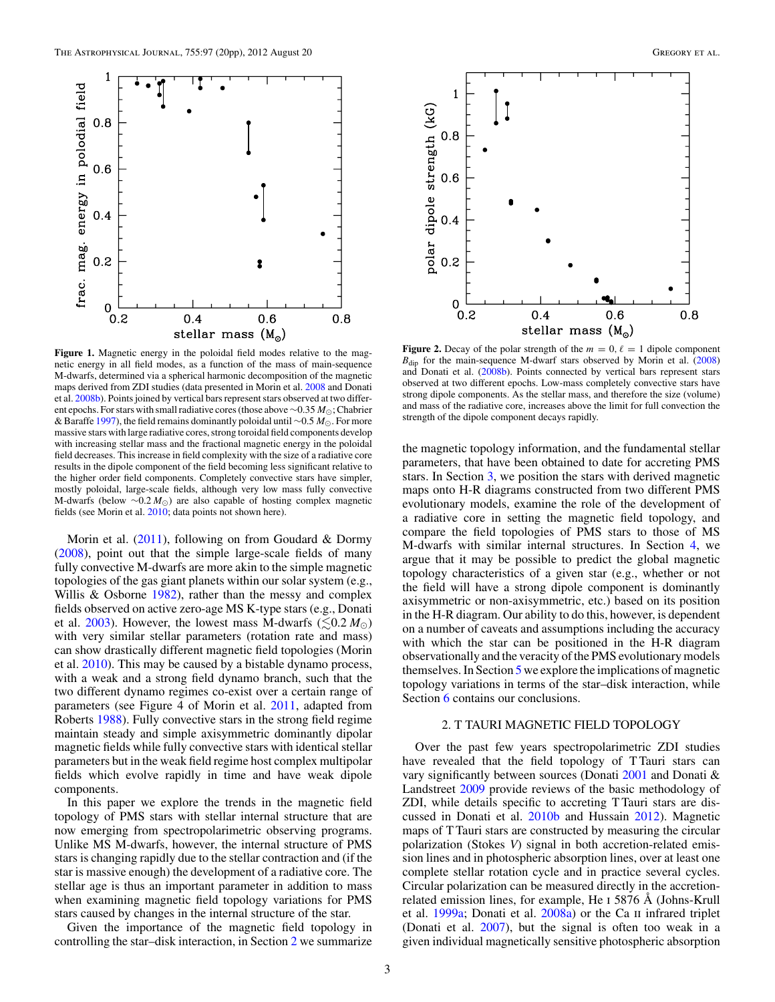<span id="page-2-0"></span>

**Figure 1.** Magnetic energy in the poloidal field modes relative to the magnetic energy in all field modes, as a function of the mass of main-sequence M-dwarfs, determined via a spherical harmonic decomposition of the magnetic maps derived from ZDI studies (data presented in Morin et al. [2008](#page-18-0) and Donati et al. [2008b\)](#page-18-0). Points joined by vertical bars represent stars observed at two different epochs. For stars with small radiative cores (those above ~0.35 *M*<sub>⊙</sub>; Chabrier & Baraffe [1997\)](#page-18-0), the field remains dominantly poloidal until ∼0.5 *M*. For more massive stars with large radiative cores, strong toroidal field components develop with increasing stellar mass and the fractional magnetic energy in the poloidal field decreases. This increase in field complexity with the size of a radiative core results in the dipole component of the field becoming less significant relative to the higher order field components. Completely convective stars have simpler, mostly poloidal, large-scale fields, although very low mass fully convective M-dwarfs (below ~0.2 *M*<sub>○</sub>) are also capable of hosting complex magnetic fields (see Morin et al. [2010;](#page-18-0) data points not shown here).

Morin et al.  $(2011)$ , following on from Goudard & Dormy [\(2008\)](#page-18-0), point out that the simple large-scale fields of many fully convective M-dwarfs are more akin to the simple magnetic topologies of the gas giant planets within our solar system (e.g., Willis & Osborne [1982\)](#page-19-0), rather than the messy and complex fields observed on active zero-age MS K-type stars (e.g., Donati et al. [2003\)](#page-18-0). However, the lowest mass M-dwarfs ( $\leq 0.2 M_{\odot}$ ) with very similar stellar parameters (rotation rate and mass) can show drastically different magnetic field topologies (Morin et al. [2010\)](#page-18-0). This may be caused by a bistable dynamo process, with a weak and a strong field dynamo branch, such that the two different dynamo regimes co-exist over a certain range of parameters (see Figure 4 of Morin et al. [2011,](#page-18-0) adapted from Roberts [1988\)](#page-19-0). Fully convective stars in the strong field regime maintain steady and simple axisymmetric dominantly dipolar magnetic fields while fully convective stars with identical stellar parameters but in the weak field regime host complex multipolar fields which evolve rapidly in time and have weak dipole components.

In this paper we explore the trends in the magnetic field topology of PMS stars with stellar internal structure that are now emerging from spectropolarimetric observing programs. Unlike MS M-dwarfs, however, the internal structure of PMS stars is changing rapidly due to the stellar contraction and (if the star is massive enough) the development of a radiative core. The stellar age is thus an important parameter in addition to mass when examining magnetic field topology variations for PMS stars caused by changes in the internal structure of the star.

Given the importance of the magnetic field topology in controlling the star–disk interaction, in Section 2 we summarize



**Figure 2.** Decay of the polar strength of the  $m = 0, \ell = 1$  dipole component  $B_{\text{dip}}$  for the main-sequence M-dwarf stars observed by Morin et al. [\(2008\)](#page-18-0) and Donati et al. [\(2008b\)](#page-18-0). Points connected by vertical bars represent stars observed at two different epochs. Low-mass completely convective stars have strong dipole components. As the stellar mass, and therefore the size (volume) and mass of the radiative core, increases above the limit for full convection the strength of the dipole component decays rapidly.

the magnetic topology information, and the fundamental stellar parameters, that have been obtained to date for accreting PMS stars. In Section [3,](#page-4-0) we position the stars with derived magnetic maps onto H-R diagrams constructed from two different PMS evolutionary models, examine the role of the development of a radiative core in setting the magnetic field topology, and compare the field topologies of PMS stars to those of MS M-dwarfs with similar internal structures. In Section [4,](#page-6-0) we argue that it may be possible to predict the global magnetic topology characteristics of a given star (e.g., whether or not the field will have a strong dipole component is dominantly axisymmetric or non-axisymmetric, etc.) based on its position in the H-R diagram. Our ability to do this, however, is dependent on a number of caveats and assumptions including the accuracy with which the star can be positioned in the H-R diagram observationally and the veracity of the PMS evolutionary models themselves. In Section [5](#page-8-0) we explore the implications of magnetic topology variations in terms of the star–disk interaction, while Section [6](#page-11-0) contains our conclusions.

### 2. T TAURI MAGNETIC FIELD TOPOLOGY

Over the past few years spectropolarimetric ZDI studies have revealed that the field topology of T Tauri stars can vary significantly between sources (Donati [2001](#page-18-0) and Donati & Landstreet [2009](#page-18-0) provide reviews of the basic methodology of ZDI, while details specific to accreting T Tauri stars are discussed in Donati et al. [2010b](#page-18-0) and Hussain [2012\)](#page-18-0). Magnetic maps of T Tauri stars are constructed by measuring the circular polarization (Stokes *V*) signal in both accretion-related emission lines and in photospheric absorption lines, over at least one complete stellar rotation cycle and in practice several cycles. Circular polarization can be measured directly in the accretionrelated emission lines, for example, He i 5876 Å (Johns-Krull et al. [1999a;](#page-18-0) Donati et al. [2008a\)](#page-18-0) or the Ca II infrared triplet (Donati et al. [2007\)](#page-18-0), but the signal is often too weak in a given individual magnetically sensitive photospheric absorption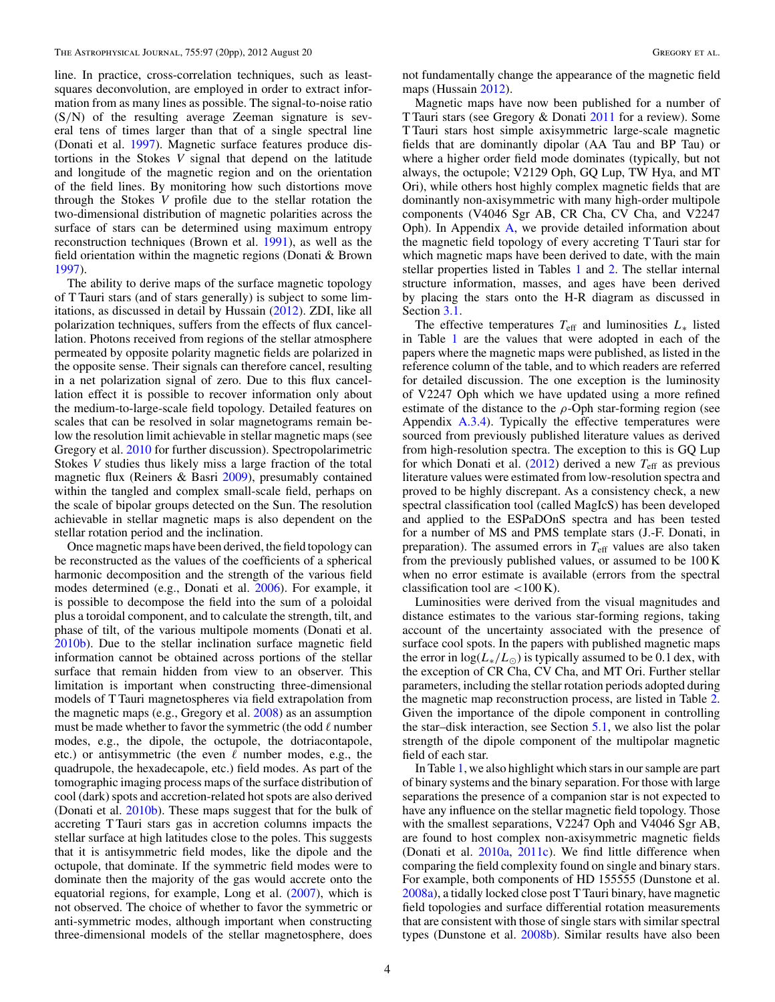line. In practice, cross-correlation techniques, such as leastsquares deconvolution, are employed in order to extract information from as many lines as possible. The signal-to-noise ratio (S*/*N) of the resulting average Zeeman signature is several tens of times larger than that of a single spectral line (Donati et al. [1997\)](#page-18-0). Magnetic surface features produce distortions in the Stokes *V* signal that depend on the latitude and longitude of the magnetic region and on the orientation of the field lines. By monitoring how such distortions move through the Stokes *V* profile due to the stellar rotation the two-dimensional distribution of magnetic polarities across the surface of stars can be determined using maximum entropy reconstruction techniques (Brown et al. [1991\)](#page-18-0), as well as the field orientation within the magnetic regions (Donati & Brown [1997\)](#page-18-0).

The ability to derive maps of the surface magnetic topology of T Tauri stars (and of stars generally) is subject to some limitations, as discussed in detail by Hussain [\(2012\)](#page-18-0). ZDI, like all polarization techniques, suffers from the effects of flux cancellation. Photons received from regions of the stellar atmosphere permeated by opposite polarity magnetic fields are polarized in the opposite sense. Their signals can therefore cancel, resulting in a net polarization signal of zero. Due to this flux cancellation effect it is possible to recover information only about the medium-to-large-scale field topology. Detailed features on scales that can be resolved in solar magnetograms remain below the resolution limit achievable in stellar magnetic maps (see Gregory et al. [2010](#page-18-0) for further discussion). Spectropolarimetric Stokes *V* studies thus likely miss a large fraction of the total magnetic flux (Reiners & Basri [2009\)](#page-19-0), presumably contained within the tangled and complex small-scale field, perhaps on the scale of bipolar groups detected on the Sun. The resolution achievable in stellar magnetic maps is also dependent on the stellar rotation period and the inclination.

Once magnetic maps have been derived, the field topology can be reconstructed as the values of the coefficients of a spherical harmonic decomposition and the strength of the various field modes determined (e.g., Donati et al. [2006\)](#page-18-0). For example, it is possible to decompose the field into the sum of a poloidal plus a toroidal component, and to calculate the strength, tilt, and phase of tilt, of the various multipole moments (Donati et al. [2010b\)](#page-18-0). Due to the stellar inclination surface magnetic field information cannot be obtained across portions of the stellar surface that remain hidden from view to an observer. This limitation is important when constructing three-dimensional models of T Tauri magnetospheres via field extrapolation from the magnetic maps (e.g., Gregory et al. [2008\)](#page-18-0) as an assumption must be made whether to favor the symmetric (the odd  $\ell$  number modes, e.g., the dipole, the octupole, the dotriacontapole, etc.) or antisymmetric (the even  $\ell$  number modes, e.g., the quadrupole, the hexadecapole, etc.) field modes. As part of the tomographic imaging process maps of the surface distribution of cool (dark) spots and accretion-related hot spots are also derived (Donati et al. [2010b\)](#page-18-0). These maps suggest that for the bulk of accreting T Tauri stars gas in accretion columns impacts the stellar surface at high latitudes close to the poles. This suggests that it is antisymmetric field modes, like the dipole and the octupole, that dominate. If the symmetric field modes were to dominate then the majority of the gas would accrete onto the equatorial regions, for example, Long et al. [\(2007\)](#page-18-0), which is not observed. The choice of whether to favor the symmetric or anti-symmetric modes, although important when constructing three-dimensional models of the stellar magnetosphere, does

not fundamentally change the appearance of the magnetic field maps (Hussain [2012\)](#page-18-0).

Magnetic maps have now been published for a number of T Tauri stars (see Gregory & Donati [2011](#page-18-0) for a review). Some T Tauri stars host simple axisymmetric large-scale magnetic fields that are dominantly dipolar (AA Tau and BP Tau) or where a higher order field mode dominates (typically, but not always, the octupole; V2129 Oph, GQ Lup, TW Hya, and MT Ori), while others host highly complex magnetic fields that are dominantly non-axisymmetric with many high-order multipole components (V4046 Sgr AB, CR Cha, CV Cha, and V2247 Oph). In Appendix [A,](#page-13-0) we provide detailed information about the magnetic field topology of every accreting T Tauri star for which magnetic maps have been derived to date, with the main stellar properties listed in Tables [1](#page-15-0) and [2.](#page-16-0) The stellar internal structure information, masses, and ages have been derived by placing the stars onto the H-R diagram as discussed in Section [3.1.](#page-4-0)

The effective temperatures  $T_{\text{eff}}$  and luminosities  $L_*$  listed in Table [1](#page-15-0) are the values that were adopted in each of the papers where the magnetic maps were published, as listed in the reference column of the table, and to which readers are referred for detailed discussion. The one exception is the luminosity of V2247 Oph which we have updated using a more refined estimate of the distance to the *ρ*-Oph star-forming region (see Appendix [A.3.4\)](#page-16-0). Typically the effective temperatures were sourced from previously published literature values as derived from high-resolution spectra. The exception to this is GQ Lup for which Donati et al.  $(2012)$  derived a new  $T_{\text{eff}}$  as previous literature values were estimated from low-resolution spectra and proved to be highly discrepant. As a consistency check, a new spectral classification tool (called MagIcS) has been developed and applied to the ESPaDOnS spectra and has been tested for a number of MS and PMS template stars (J.-F. Donati, in preparation). The assumed errors in  $T_{\text{eff}}$  values are also taken from the previously published values, or assumed to be 100 K when no error estimate is available (errors from the spectral classification tool are *<*100 K).

Luminosities were derived from the visual magnitudes and distance estimates to the various star-forming regions, taking account of the uncertainty associated with the presence of surface cool spots. In the papers with published magnetic maps the error in  $log(L_*/L_{\odot})$  is typically assumed to be 0.1 dex, with the exception of CR Cha, CV Cha, and MT Ori. Further stellar parameters, including the stellar rotation periods adopted during the magnetic map reconstruction process, are listed in Table [2.](#page-16-0) Given the importance of the dipole component in controlling the star–disk interaction, see Section [5.1,](#page-8-0) we also list the polar strength of the dipole component of the multipolar magnetic field of each star.

In Table [1,](#page-15-0) we also highlight which stars in our sample are part of binary systems and the binary separation. For those with large separations the presence of a companion star is not expected to have any influence on the stellar magnetic field topology. Those with the smallest separations, V2247 Oph and V4046 Sgr AB, are found to host complex non-axisymmetric magnetic fields (Donati et al. [2010a,](#page-18-0) [2011c\)](#page-18-0). We find little difference when comparing the field complexity found on single and binary stars. For example, both components of HD 155555 (Dunstone et al. [2008a\)](#page-18-0), a tidally locked close post T Tauri binary, have magnetic field topologies and surface differential rotation measurements that are consistent with those of single stars with similar spectral types (Dunstone et al. [2008b\)](#page-18-0). Similar results have also been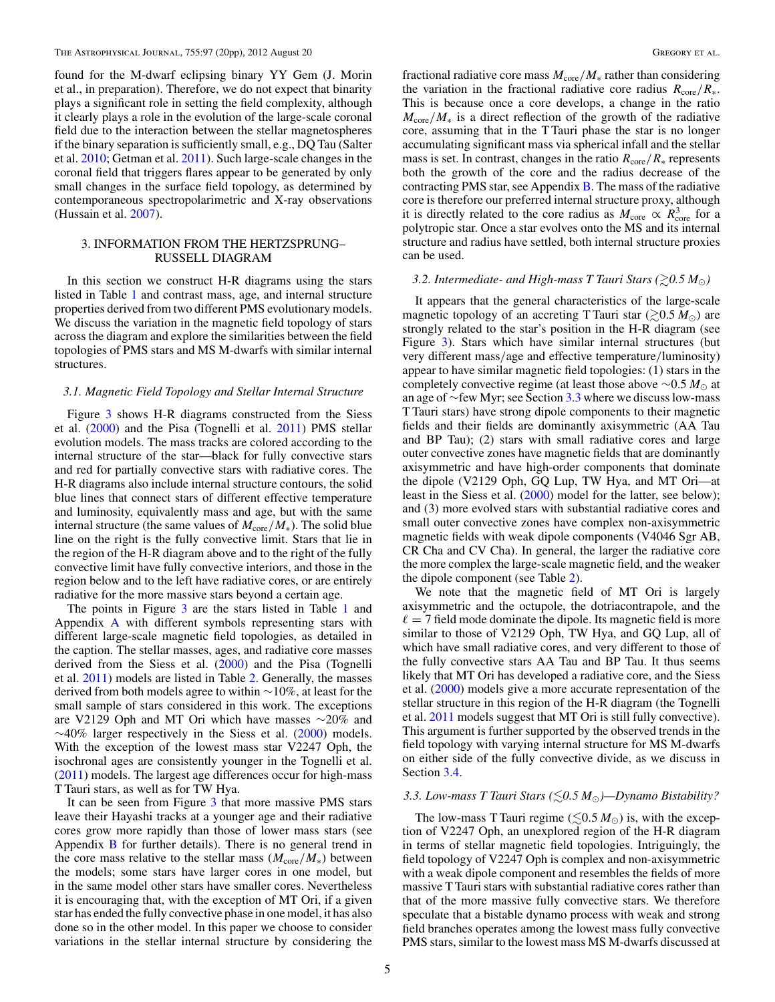<span id="page-4-0"></span>found for the M-dwarf eclipsing binary YY Gem (J. Morin et al., in preparation). Therefore, we do not expect that binarity plays a significant role in setting the field complexity, although it clearly plays a role in the evolution of the large-scale coronal field due to the interaction between the stellar magnetospheres if the binary separation is sufficiently small, e.g., DQ Tau (Salter et al. [2010;](#page-19-0) Getman et al. [2011\)](#page-18-0). Such large-scale changes in the coronal field that triggers flares appear to be generated by only small changes in the surface field topology, as determined by contemporaneous spectropolarimetric and X-ray observations (Hussain et al. [2007\)](#page-18-0).

### 3. INFORMATION FROM THE HERTZSPRUNG– RUSSELL DIAGRAM

In this section we construct H-R diagrams using the stars listed in Table [1](#page-15-0) and contrast mass, age, and internal structure properties derived from two different PMS evolutionary models. We discuss the variation in the magnetic field topology of stars across the diagram and explore the similarities between the field topologies of PMS stars and MS M-dwarfs with similar internal structures.

#### *3.1. Magnetic Field Topology and Stellar Internal Structure*

Figure [3](#page-5-0) shows H-R diagrams constructed from the Siess et al. [\(2000\)](#page-19-0) and the Pisa (Tognelli et al. [2011\)](#page-19-0) PMS stellar evolution models. The mass tracks are colored according to the internal structure of the star—black for fully convective stars and red for partially convective stars with radiative cores. The H-R diagrams also include internal structure contours, the solid blue lines that connect stars of different effective temperature and luminosity, equivalently mass and age, but with the same internal structure (the same values of  $M_{\text{core}}/M_*$ ). The solid blue line on the right is the fully convective limit. Stars that lie in the region of the H-R diagram above and to the right of the fully convective limit have fully convective interiors, and those in the region below and to the left have radiative cores, or are entirely radiative for the more massive stars beyond a certain age.

The points in Figure [3](#page-5-0) are the stars listed in Table [1](#page-15-0) and Appendix [A](#page-13-0) with different symbols representing stars with different large-scale magnetic field topologies, as detailed in the caption. The stellar masses, ages, and radiative core masses derived from the Siess et al. [\(2000\)](#page-19-0) and the Pisa (Tognelli et al. [2011\)](#page-19-0) models are listed in Table [2.](#page-16-0) Generally, the masses derived from both models agree to within ∼10%, at least for the small sample of stars considered in this work. The exceptions are V2129 Oph and MT Ori which have masses ∼20% and  $\sim$ 40% larger respectively in the Siess et al. [\(2000\)](#page-19-0) models. With the exception of the lowest mass star V2247 Oph, the isochronal ages are consistently younger in the Tognelli et al. [\(2011\)](#page-19-0) models. The largest age differences occur for high-mass T Tauri stars, as well as for TW Hya.

It can be seen from Figure [3](#page-5-0) that more massive PMS stars leave their Hayashi tracks at a younger age and their radiative cores grow more rapidly than those of lower mass stars (see Appendix  $\bf{B}$  $\bf{B}$  $\bf{B}$  for further details). There is no general trend in the core mass relative to the stellar mass  $(M_{\text{core}}/M_*)$  between the models; some stars have larger cores in one model, but in the same model other stars have smaller cores. Nevertheless it is encouraging that, with the exception of MT Ori, if a given star has ended the fully convective phase in one model, it has also done so in the other model. In this paper we choose to consider variations in the stellar internal structure by considering the

fractional radiative core mass  $M_{\text{core}}/M_*$  rather than considering the variation in the fractional radiative core radius  $R_{\text{core}}/R_*$ . This is because once a core develops, a change in the ratio *M*<sub>core</sub>/*M*<sup>∗</sup> is a direct reflection of the growth of the radiative core, assuming that in the T Tauri phase the star is no longer accumulating significant mass via spherical infall and the stellar mass is set. In contrast, changes in the ratio  $R_{\text{core}}/R_*$  represents both the growth of the core and the radius decrease of the contracting PMS star, see Appendix  $\overline{B}$ . The mass of the radiative core is therefore our preferred internal structure proxy, although it is directly related to the core radius as  $M_{\text{core}} \propto R_{\text{core}}^3$  for a polytropic star. Once a star evolves onto the MS and its internal structure and radius have settled, both internal structure proxies can be used.

# 3.2. Intermediate- and High-mass T Tauri Stars ( $\gtrsim$  0.5 M $_{\odot}$ )

It appears that the general characteristics of the large-scale magnetic topology of an accreting T Tauri star  $(\gtrsim 0.5 M_{\odot})$  are strongly related to the star's position in the H-R diagram (see Figure [3\)](#page-5-0). Stars which have similar internal structures (but very different mass*/*age and effective temperature*/*luminosity) appear to have similar magnetic field topologies: (1) stars in the completely convective regime (at least those above ~0.5 *M*<sub>⊙</sub> at an age of ∼few Myr; see Section 3.3 where we discuss low-mass T Tauri stars) have strong dipole components to their magnetic fields and their fields are dominantly axisymmetric (AA Tau and BP Tau); (2) stars with small radiative cores and large outer convective zones have magnetic fields that are dominantly axisymmetric and have high-order components that dominate the dipole (V2129 Oph, GQ Lup, TW Hya, and MT Ori—at least in the Siess et al. [\(2000\)](#page-19-0) model for the latter, see below); and (3) more evolved stars with substantial radiative cores and small outer convective zones have complex non-axisymmetric magnetic fields with weak dipole components (V4046 Sgr AB, CR Cha and CV Cha). In general, the larger the radiative core the more complex the large-scale magnetic field, and the weaker the dipole component (see Table [2\)](#page-16-0).

We note that the magnetic field of MT Ori is largely axisymmetric and the octupole, the dotriacontrapole, and the  $\ell = 7$  field mode dominate the dipole. Its magnetic field is more similar to those of V2129 Oph, TW Hya, and GQ Lup, all of which have small radiative cores, and very different to those of the fully convective stars AA Tau and BP Tau. It thus seems likely that MT Ori has developed a radiative core, and the Siess et al. [\(2000\)](#page-19-0) models give a more accurate representation of the stellar structure in this region of the H-R diagram (the Tognelli et al. [2011](#page-19-0) models suggest that MT Ori is still fully convective). This argument is further supported by the observed trends in the field topology with varying internal structure for MS M-dwarfs on either side of the fully convective divide, as we discuss in Section [3.4.](#page-5-0)

### *3.3. Low-mass T Tauri Stars (0.5 M)—Dynamo Bistability?*

The low-mass T Tauri regime  $(\leq 0.5 M_{\odot})$  is, with the exception of V2247 Oph, an unexplored region of the H-R diagram in terms of stellar magnetic field topologies. Intriguingly, the field topology of V2247 Oph is complex and non-axisymmetric with a weak dipole component and resembles the fields of more massive T Tauri stars with substantial radiative cores rather than that of the more massive fully convective stars. We therefore speculate that a bistable dynamo process with weak and strong field branches operates among the lowest mass fully convective PMS stars, similar to the lowest mass MS M-dwarfs discussed at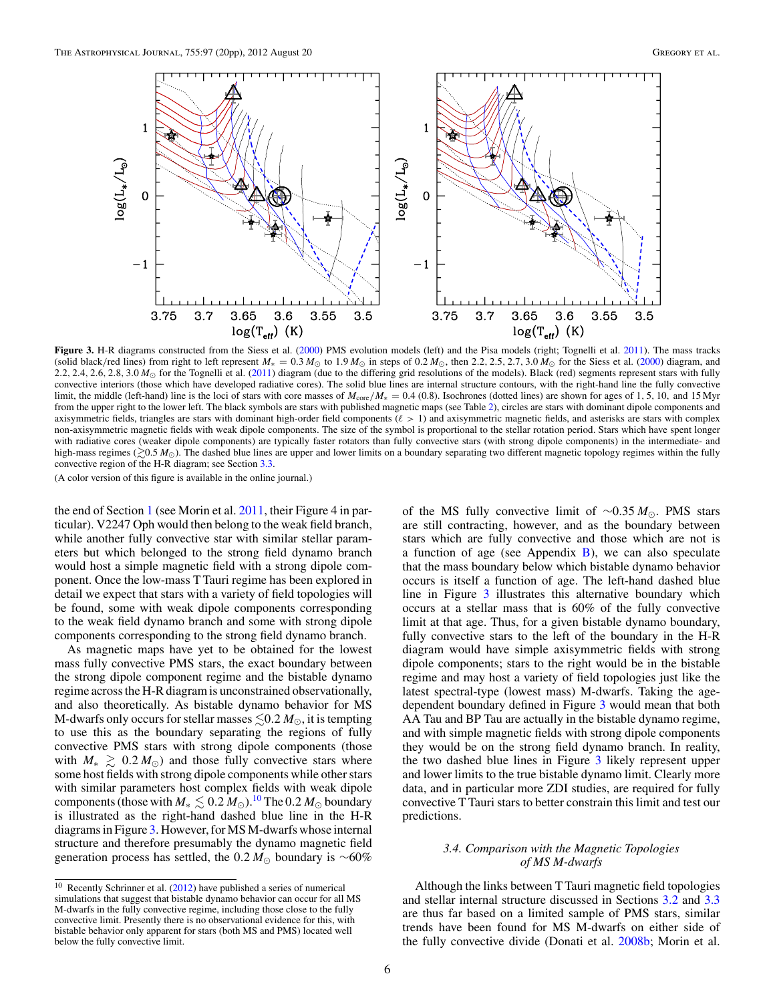<span id="page-5-0"></span>

Figure 3. H-R diagrams constructed from the Siess et al. [\(2000\)](#page-19-0) PMS evolution models (left) and the Pisa models (right; Tognelli et al. [2011\)](#page-19-0). The mass tracks (solid black/red lines) from right to left represent  $M_* = 0.3 M_{\odot}$  to 1.9  $M_{\odot}$  in steps of 0.2  $M_{\odot}$ , then 2.2, 2.5, 2.7, 3.0  $M_{\odot}$  for the Siess et al. [\(2000\)](#page-19-0) diagram, and 2.2, 2.4, 2.6, 2.8, 3.0  $M_{\odot}$  for the Tognelli et al. [\(2011\)](#page-19-0) diagram (due to the differing grid resolutions of the models). Black (red) segments represent stars with fully convective interiors (those which have developed radiative cores). The solid blue lines are internal structure contours, with the right-hand line the fully convective limit, the middle (left-hand) line is the loci of stars with core masses of *M*core*/M*<sup>∗</sup> = 0*.*4 (0.8). Isochrones (dotted lines) are shown for ages of 1*,* 5*,* 10*,* and 15 Myr from the upper right to the lower left. The black symbols are stars with published magnetic maps (see Table [2\)](#page-16-0), circles are stars with dominant dipole components and axisymmetric fields, triangles are stars with dominant high-order field components  $(\ell > 1)$  and axisymmetric magnetic fields, and asterisks are stars with complex non-axisymmetric magnetic fields with weak dipole components. The size of the symbol is proportional to the stellar rotation period. Stars which have spent longer with radiative cores (weaker dipole components) are typically faster rotators than fully convective stars (with strong dipole components) in the intermediate- and high-mass regimes ( $\gtrsim 0.5 M_{\odot}$ ). The dashed blue lines are upper and lower limits on a boundary separating two different magnetic topology regimes within the fully convective region of the H-R diagram; see Section [3.3.](#page-4-0)

(A color version of this figure is available in the online journal.)

the end of Section [1](#page-0-0) (see Morin et al. [2011,](#page-18-0) their Figure 4 in particular). V2247 Oph would then belong to the weak field branch, while another fully convective star with similar stellar parameters but which belonged to the strong field dynamo branch would host a simple magnetic field with a strong dipole component. Once the low-mass T Tauri regime has been explored in detail we expect that stars with a variety of field topologies will be found, some with weak dipole components corresponding to the weak field dynamo branch and some with strong dipole components corresponding to the strong field dynamo branch.

As magnetic maps have yet to be obtained for the lowest mass fully convective PMS stars, the exact boundary between the strong dipole component regime and the bistable dynamo regime across the H-R diagram is unconstrained observationally, and also theoretically. As bistable dynamo behavior for MS M-dwarfs only occurs for stellar masses  $\leq 0.2 M_{\odot}$ , it is tempting to use this as the boundary separating the regions of fully convective PMS stars with strong dipole components (those with  $M_* \geq 0.2 M_{\odot}$ ) and those fully convective stars where some host fields with strong dipole components while other stars with similar parameters host complex fields with weak dipole components (those with  $M_* \lesssim 0.2 M_{\odot}$ ).<sup>10</sup> The 0.2  $M_{\odot}$  boundary is illustrated as the right-hand dashed blue line in the H-R diagrams in Figure 3. However, for MS M-dwarfs whose internal structure and therefore presumably the dynamo magnetic field generation process has settled, the 0.2  $M_{\odot}$  boundary is ~60%

of the MS fully convective limit of ∼0.35 *M*. PMS stars are still contracting, however, and as the boundary between stars which are fully convective and those which are not is a function of age (see Appendix  $B$ ), we can also speculate that the mass boundary below which bistable dynamo behavior occurs is itself a function of age. The left-hand dashed blue line in Figure 3 illustrates this alternative boundary which occurs at a stellar mass that is 60% of the fully convective limit at that age. Thus, for a given bistable dynamo boundary, fully convective stars to the left of the boundary in the H-R diagram would have simple axisymmetric fields with strong dipole components; stars to the right would be in the bistable regime and may host a variety of field topologies just like the latest spectral-type (lowest mass) M-dwarfs. Taking the agedependent boundary defined in Figure 3 would mean that both AA Tau and BP Tau are actually in the bistable dynamo regime, and with simple magnetic fields with strong dipole components they would be on the strong field dynamo branch. In reality, the two dashed blue lines in Figure 3 likely represent upper and lower limits to the true bistable dynamo limit. Clearly more data, and in particular more ZDI studies, are required for fully convective T Tauri stars to better constrain this limit and test our predictions.

# *3.4. Comparison with the Magnetic Topologies of MS M-dwarfs*

Although the links between T Tauri magnetic field topologies and stellar internal structure discussed in Sections [3.2](#page-4-0) and [3.3](#page-4-0) are thus far based on a limited sample of PMS stars, similar trends have been found for MS M-dwarfs on either side of the fully convective divide (Donati et al. [2008b;](#page-18-0) Morin et al.

 $10$  Recently Schrinner et al. [\(2012\)](#page-19-0) have published a series of numerical simulations that suggest that bistable dynamo behavior can occur for all MS M-dwarfs in the fully convective regime, including those close to the fully convective limit. Presently there is no observational evidence for this, with bistable behavior only apparent for stars (both MS and PMS) located well below the fully convective limit.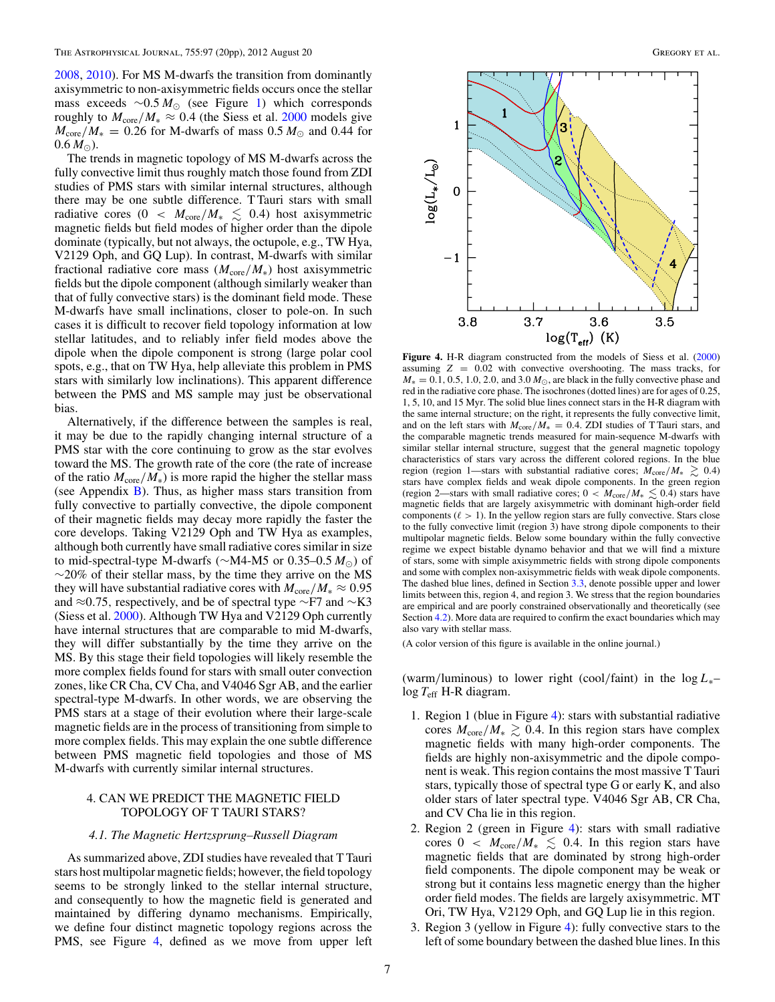<span id="page-6-0"></span>[2008,](#page-18-0) [2010\)](#page-18-0). For MS M-dwarfs the transition from dominantly axisymmetric to non-axisymmetric fields occurs once the stellar mass exceeds  $\sim$ 0.5 *M*<sub>☉</sub> (see Figure [1\)](#page-2-0) which corresponds roughly to  $M_{\text{core}}/M_* \approx 0.4$  (the Siess et al. [2000](#page-19-0) models give  $M_{\text{core}}/M_* = 0.26$  for M-dwarfs of mass 0.5  $M_{\odot}$  and 0.44 for  $0.6 M_{\odot}$ ).

The trends in magnetic topology of MS M-dwarfs across the fully convective limit thus roughly match those found from ZDI studies of PMS stars with similar internal structures, although there may be one subtle difference. T Tauri stars with small radiative cores (0 <  $M_{\text{core}}/M_* \lesssim 0.4$ ) host axisymmetric magnetic fields but field modes of higher order than the dipole dominate (typically, but not always, the octupole, e.g., TW Hya, V2129 Oph, and GQ Lup). In contrast, M-dwarfs with similar fractional radiative core mass (*M*core*/M*∗) host axisymmetric fields but the dipole component (although similarly weaker than that of fully convective stars) is the dominant field mode. These M-dwarfs have small inclinations, closer to pole-on. In such cases it is difficult to recover field topology information at low stellar latitudes, and to reliably infer field modes above the dipole when the dipole component is strong (large polar cool spots, e.g., that on TW Hya, help alleviate this problem in PMS stars with similarly low inclinations). This apparent difference between the PMS and MS sample may just be observational bias.

Alternatively, if the difference between the samples is real, it may be due to the rapidly changing internal structure of a PMS star with the core continuing to grow as the star evolves toward the MS. The growth rate of the core (the rate of increase of the ratio  $M_{\text{core}}/M_*$ ) is more rapid the higher the stellar mass (see Appendix  $B$ ). Thus, as higher mass stars transition from fully convective to partially convective, the dipole component of their magnetic fields may decay more rapidly the faster the core develops. Taking V2129 Oph and TW Hya as examples, although both currently have small radiative cores similar in size to mid-spectral-type M-dwarfs (∼M4-M5 or 0.35–0.5  $M_{\odot}$ ) of  $\sim$ 20% of their stellar mass, by the time they arrive on the MS they will have substantial radiative cores with  $M_{\text{core}}/M_* \approx 0.95$ and ≈0*.*75*,* respectively, and be of spectral type ∼F7 and ∼K3 (Siess et al. [2000\)](#page-19-0). Although TW Hya and V2129 Oph currently have internal structures that are comparable to mid M-dwarfs, they will differ substantially by the time they arrive on the MS. By this stage their field topologies will likely resemble the more complex fields found for stars with small outer convection zones, like CR Cha, CV Cha, and V4046 Sgr AB, and the earlier spectral-type M-dwarfs. In other words, we are observing the PMS stars at a stage of their evolution where their large-scale magnetic fields are in the process of transitioning from simple to more complex fields. This may explain the one subtle difference between PMS magnetic field topologies and those of MS M-dwarfs with currently similar internal structures.

# 4. CAN WE PREDICT THE MAGNETIC FIELD TOPOLOGY OF T TAURI STARS?

#### *4.1. The Magnetic Hertzsprung–Russell Diagram*

As summarized above, ZDI studies have revealed that T Tauri stars host multipolar magnetic fields; however, the field topology seems to be strongly linked to the stellar internal structure, and consequently to how the magnetic field is generated and maintained by differing dynamo mechanisms. Empirically, we define four distinct magnetic topology regions across the PMS, see Figure 4, defined as we move from upper left



**Figure 4.** H-R diagram constructed from the models of Siess et al. [\(2000\)](#page-19-0) assuming *Z* = 0*.*02 with convective overshooting. The mass tracks, for  $M_* = 0.1, 0.5, 1.0, 2.0,$  and  $3.0 M_{\odot}$ , are black in the fully convective phase and red in the radiative core phase. The isochrones (dotted lines) are for ages of 0.25, 1, 5, 10, and 15 Myr. The solid blue lines connect stars in the H-R diagram with the same internal structure; on the right, it represents the fully convective limit, and on the left stars with  $M_{\text{core}}/M_* = 0.4$ . ZDI studies of T Tauri stars, and the comparable magnetic trends measured for main-sequence M-dwarfs with similar stellar internal structure, suggest that the general magnetic topology characteristics of stars vary across the different colored regions. In the blue region (region 1—stars with substantial radiative cores;  $M_{\text{core}}/M_* \geq 0.4$ ) stars have complex fields and weak dipole components. In the green region (region 2—stars with small radiative cores;  $0 < M<sub>core</sub>/M_* \lesssim 0.4$ ) stars have magnetic fields that are largely axisymmetric with dominant high-order field components  $(\ell > 1)$ . In the yellow region stars are fully convective. Stars close to the fully convective limit (region 3) have strong dipole components to their multipolar magnetic fields. Below some boundary within the fully convective regime we expect bistable dynamo behavior and that we will find a mixture of stars, some with simple axisymmetric fields with strong dipole components and some with complex non-axisymmetric fields with weak dipole components. The dashed blue lines, defined in Section [3.3,](#page-4-0) denote possible upper and lower limits between this, region 4, and region 3. We stress that the region boundaries are empirical and are poorly constrained observationally and theoretically (see Section [4.2\)](#page-7-0). More data are required to confirm the exact boundaries which may also vary with stellar mass.

(A color version of this figure is available in the online journal.)

(warm*/*luminous) to lower right (cool*/*faint) in the log*L*∗– log *T*eff H-R diagram.

- 1. Region 1 (blue in Figure 4): stars with substantial radiative cores  $M_{\text{core}}/M_* \gtrsim 0.4$ . In this region stars have complex magnetic fields with many high-order components. The fields are highly non-axisymmetric and the dipole component is weak. This region contains the most massive T Tauri stars, typically those of spectral type G or early K, and also older stars of later spectral type. V4046 Sgr AB, CR Cha, and CV Cha lie in this region.
- 2. Region 2 (green in Figure 4): stars with small radiative cores  $0 < M_{\text{core}}/M_{*} \leq 0.4$ . In this region stars have magnetic fields that are dominated by strong high-order field components. The dipole component may be weak or strong but it contains less magnetic energy than the higher order field modes. The fields are largely axisymmetric. MT Ori, TW Hya, V2129 Oph, and GQ Lup lie in this region.
- 3. Region 3 (yellow in Figure 4): fully convective stars to the left of some boundary between the dashed blue lines. In this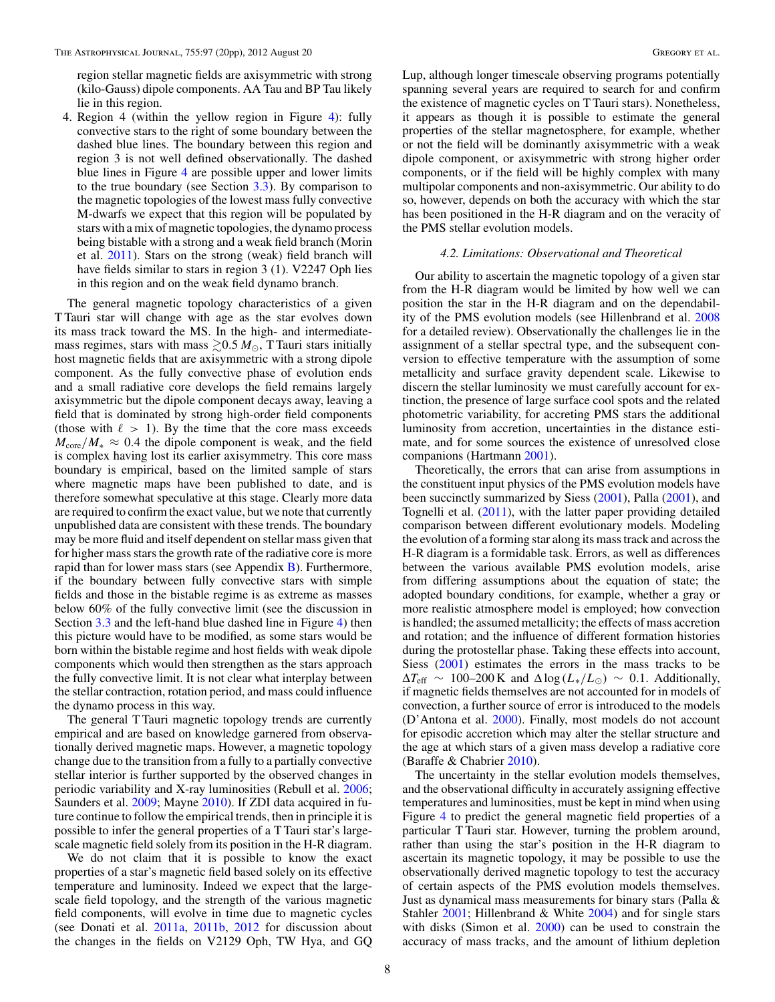<span id="page-7-0"></span>region stellar magnetic fields are axisymmetric with strong (kilo-Gauss) dipole components. AA Tau and BP Tau likely lie in this region.

4. Region 4 (within the yellow region in Figure [4\)](#page-6-0): fully convective stars to the right of some boundary between the dashed blue lines. The boundary between this region and region 3 is not well defined observationally. The dashed blue lines in Figure [4](#page-6-0) are possible upper and lower limits to the true boundary (see Section [3.3\)](#page-4-0). By comparison to the magnetic topologies of the lowest mass fully convective M-dwarfs we expect that this region will be populated by stars with a mix of magnetic topologies, the dynamo process being bistable with a strong and a weak field branch (Morin et al. [2011\)](#page-18-0). Stars on the strong (weak) field branch will have fields similar to stars in region 3 (1). V2247 Oph lies in this region and on the weak field dynamo branch.

The general magnetic topology characteristics of a given T Tauri star will change with age as the star evolves down its mass track toward the MS. In the high- and intermediatemass regimes, stars with mass  $\gtrsim 0.5 M_{\odot}$ , T Tauri stars initially host magnetic fields that are axisymmetric with a strong dipole component. As the fully convective phase of evolution ends and a small radiative core develops the field remains largely axisymmetric but the dipole component decays away, leaving a field that is dominated by strong high-order field components (those with  $\ell > 1$ ). By the time that the core mass exceeds  $M_{\text{core}}/M_* \approx 0.4$  the dipole component is weak, and the field is complex having lost its earlier axisymmetry. This core mass boundary is empirical, based on the limited sample of stars where magnetic maps have been published to date, and is therefore somewhat speculative at this stage. Clearly more data are required to confirm the exact value, but we note that currently unpublished data are consistent with these trends. The boundary may be more fluid and itself dependent on stellar mass given that for higher mass stars the growth rate of the radiative core is more rapid than for lower mass stars (see Appendix  $\overline{B}$ ). Furthermore, if the boundary between fully convective stars with simple fields and those in the bistable regime is as extreme as masses below 60% of the fully convective limit (see the discussion in Section [3.3](#page-4-0) and the left-hand blue dashed line in Figure [4\)](#page-6-0) then this picture would have to be modified, as some stars would be born within the bistable regime and host fields with weak dipole components which would then strengthen as the stars approach the fully convective limit. It is not clear what interplay between the stellar contraction, rotation period, and mass could influence the dynamo process in this way.

The general T Tauri magnetic topology trends are currently empirical and are based on knowledge garnered from observationally derived magnetic maps. However, a magnetic topology change due to the transition from a fully to a partially convective stellar interior is further supported by the observed changes in periodic variability and X-ray luminosities (Rebull et al. [2006;](#page-19-0) Saunders et al. [2009;](#page-19-0) Mayne [2010\)](#page-18-0). If ZDI data acquired in future continue to follow the empirical trends, then in principle it is possible to infer the general properties of a T Tauri star's largescale magnetic field solely from its position in the H-R diagram.

We do not claim that it is possible to know the exact properties of a star's magnetic field based solely on its effective temperature and luminosity. Indeed we expect that the largescale field topology, and the strength of the various magnetic field components, will evolve in time due to magnetic cycles (see Donati et al. [2011a,](#page-18-0) [2011b,](#page-18-0) [2012](#page-18-0) for discussion about the changes in the fields on V2129 Oph, TW Hya, and GQ

Lup, although longer timescale observing programs potentially spanning several years are required to search for and confirm the existence of magnetic cycles on T Tauri stars). Nonetheless, it appears as though it is possible to estimate the general properties of the stellar magnetosphere, for example, whether or not the field will be dominantly axisymmetric with a weak dipole component, or axisymmetric with strong higher order components, or if the field will be highly complex with many multipolar components and non-axisymmetric. Our ability to do so, however, depends on both the accuracy with which the star has been positioned in the H-R diagram and on the veracity of the PMS stellar evolution models.

#### *4.2. Limitations: Observational and Theoretical*

Our ability to ascertain the magnetic topology of a given star from the H-R diagram would be limited by how well we can position the star in the H-R diagram and on the dependability of the PMS evolution models (see Hillenbrand et al. [2008](#page-18-0) for a detailed review). Observationally the challenges lie in the assignment of a stellar spectral type, and the subsequent conversion to effective temperature with the assumption of some metallicity and surface gravity dependent scale. Likewise to discern the stellar luminosity we must carefully account for extinction, the presence of large surface cool spots and the related photometric variability, for accreting PMS stars the additional luminosity from accretion, uncertainties in the distance estimate, and for some sources the existence of unresolved close companions (Hartmann [2001\)](#page-18-0).

Theoretically, the errors that can arise from assumptions in the constituent input physics of the PMS evolution models have been succinctly summarized by Siess [\(2001\)](#page-19-0), Palla [\(2001\)](#page-18-0), and Tognelli et al. [\(2011\)](#page-19-0), with the latter paper providing detailed comparison between different evolutionary models. Modeling the evolution of a forming star along its mass track and across the H-R diagram is a formidable task. Errors, as well as differences between the various available PMS evolution models, arise from differing assumptions about the equation of state; the adopted boundary conditions, for example, whether a gray or more realistic atmosphere model is employed; how convection is handled; the assumed metallicity; the effects of mass accretion and rotation; and the influence of different formation histories during the protostellar phase. Taking these effects into account, Siess [\(2001\)](#page-19-0) estimates the errors in the mass tracks to be  $\Delta T_{\text{eff}} \sim 100$ –200 K and  $\Delta \log(L_*/L_{\odot}) \sim 0.1$ . Additionally, if magnetic fields themselves are not accounted for in models of convection, a further source of error is introduced to the models (D'Antona et al. [2000\)](#page-18-0). Finally, most models do not account for episodic accretion which may alter the stellar structure and the age at which stars of a given mass develop a radiative core (Baraffe & Chabrier [2010\)](#page-18-0).

The uncertainty in the stellar evolution models themselves, and the observational difficulty in accurately assigning effective temperatures and luminosities, must be kept in mind when using Figure [4](#page-6-0) to predict the general magnetic field properties of a particular T Tauri star. However, turning the problem around, rather than using the star's position in the H-R diagram to ascertain its magnetic topology, it may be possible to use the observationally derived magnetic topology to test the accuracy of certain aspects of the PMS evolution models themselves. Just as dynamical mass measurements for binary stars (Palla & Stahler  $2001$ ; Hillenbrand & White  $2004$ ) and for single stars with disks (Simon et al. [2000\)](#page-19-0) can be used to constrain the accuracy of mass tracks, and the amount of lithium depletion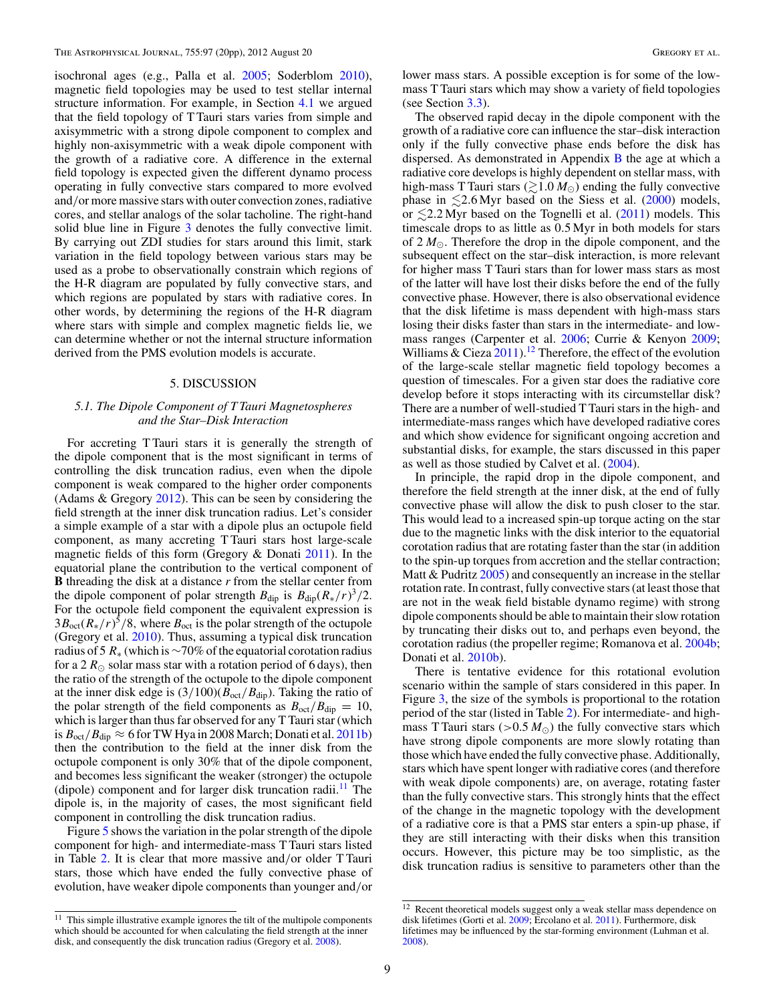<span id="page-8-0"></span>isochronal ages (e.g., Palla et al. [2005;](#page-18-0) Soderblom [2010\)](#page-19-0), magnetic field topologies may be used to test stellar internal structure information. For example, in Section [4.1](#page-6-0) we argued that the field topology of T Tauri stars varies from simple and axisymmetric with a strong dipole component to complex and highly non-axisymmetric with a weak dipole component with the growth of a radiative core. A difference in the external field topology is expected given the different dynamo process operating in fully convective stars compared to more evolved and*/*or more massive stars with outer convection zones, radiative cores, and stellar analogs of the solar tacholine. The right-hand solid blue line in Figure [3](#page-5-0) denotes the fully convective limit. By carrying out ZDI studies for stars around this limit, stark variation in the field topology between various stars may be used as a probe to observationally constrain which regions of the H-R diagram are populated by fully convective stars, and which regions are populated by stars with radiative cores. In other words, by determining the regions of the H-R diagram where stars with simple and complex magnetic fields lie, we can determine whether or not the internal structure information derived from the PMS evolution models is accurate.

### 5. DISCUSSION

# *5.1. The Dipole Component of T Tauri Magnetospheres and the Star–Disk Interaction*

For accreting T Tauri stars it is generally the strength of the dipole component that is the most significant in terms of controlling the disk truncation radius, even when the dipole component is weak compared to the higher order components (Adams & Gregory [2012\)](#page-18-0). This can be seen by considering the field strength at the inner disk truncation radius. Let's consider a simple example of a star with a dipole plus an octupole field component, as many accreting T Tauri stars host large-scale magnetic fields of this form (Gregory & Donati [2011\)](#page-18-0). In the equatorial plane the contribution to the vertical component of **B** threading the disk at a distance *r* from the stellar center from the dipole component of polar strength  $B_{\text{dip}}$  is  $B_{\text{dip}}(R_*/r)^3/2$ . For the octupole field component the equivalent expression is  $3B_{\text{oct}}(R_*/r)^5/8$ , where  $B_{\text{oct}}$  is the polar strength of the octupole (Gregory et al. [2010\)](#page-18-0). Thus, assuming a typical disk truncation radius of 5 *R*<sup>∗</sup> (which is∼70% of the equatorial corotation radius for a 2  $R_{\odot}$  solar mass star with a rotation period of 6 days), then the ratio of the strength of the octupole to the dipole component at the inner disk edge is  $(3/100)(B_{\text{oct}}/B_{\text{dip}})$ . Taking the ratio of the polar strength of the field components as  $B_{\text{oct}}/B_{\text{dip}} = 10$ , which is larger than thus far observed for any T Tauri star (which is  $B_{\text{oct}}/B_{\text{div}} \approx 6$  for TW Hya in 2008 March; Donati et al. [2011b\)](#page-18-0) then the contribution to the field at the inner disk from the octupole component is only 30% that of the dipole component, and becomes less significant the weaker (stronger) the octupole (dipole) component and for larger disk truncation radii.<sup>11</sup> The dipole is, in the majority of cases, the most significant field component in controlling the disk truncation radius.

Figure [5](#page-9-0) shows the variation in the polar strength of the dipole component for high- and intermediate-mass T Tauri stars listed in Table [2.](#page-16-0) It is clear that more massive and*/*or older T Tauri stars, those which have ended the fully convective phase of evolution, have weaker dipole components than younger and*/*or

lower mass stars. A possible exception is for some of the lowmass T Tauri stars which may show a variety of field topologies (see Section [3.3\)](#page-4-0).

The observed rapid decay in the dipole component with the growth of a radiative core can influence the star–disk interaction only if the fully convective phase ends before the disk has dispersed. As demonstrated in Appendix  $\bf{B}$  $\bf{B}$  $\bf{B}$  the age at which a radiative core develops is highly dependent on stellar mass, with high-mass T Tauri stars  $(\gtrsim 1.0 M_{\odot})$  ending the fully convective phase in  $\leq$ 2.6 Myr based on the Siess et al. [\(2000\)](#page-19-0) models, or  $\leq$ 2.2 Myr based on the Tognelli et al. [\(2011\)](#page-19-0) models. This timescale drops to as little as 0*.*5 Myr in both models for stars of  $2 M_{\odot}$ . Therefore the drop in the dipole component, and the subsequent effect on the star–disk interaction, is more relevant for higher mass T Tauri stars than for lower mass stars as most of the latter will have lost their disks before the end of the fully convective phase. However, there is also observational evidence that the disk lifetime is mass dependent with high-mass stars losing their disks faster than stars in the intermediate- and lowmass ranges (Carpenter et al. [2006;](#page-18-0) Currie & Kenyon [2009;](#page-18-0) Williams  $\&$  Cieza [2011\)](#page-19-0).<sup>12</sup> Therefore, the effect of the evolution of the large-scale stellar magnetic field topology becomes a question of timescales. For a given star does the radiative core develop before it stops interacting with its circumstellar disk? There are a number of well-studied T Tauri stars in the high- and intermediate-mass ranges which have developed radiative cores and which show evidence for significant ongoing accretion and substantial disks, for example, the stars discussed in this paper as well as those studied by Calvet et al. [\(2004\)](#page-18-0).

In principle, the rapid drop in the dipole component, and therefore the field strength at the inner disk, at the end of fully convective phase will allow the disk to push closer to the star. This would lead to a increased spin-up torque acting on the star due to the magnetic links with the disk interior to the equatorial corotation radius that are rotating faster than the star (in addition to the spin-up torques from accretion and the stellar contraction; Matt & Pudritz [2005\)](#page-18-0) and consequently an increase in the stellar rotation rate. In contrast, fully convective stars (at least those that are not in the weak field bistable dynamo regime) with strong dipole components should be able to maintain their slow rotation by truncating their disks out to, and perhaps even beyond, the corotation radius (the propeller regime; Romanova et al. [2004b;](#page-19-0) Donati et al. [2010b\)](#page-18-0).

There is tentative evidence for this rotational evolution scenario within the sample of stars considered in this paper. In Figure [3,](#page-5-0) the size of the symbols is proportional to the rotation period of the star (listed in Table [2\)](#page-16-0). For intermediate- and highmass T Tauri stars ( $> 0.5 M_{\odot}$ ) the fully convective stars which have strong dipole components are more slowly rotating than those which have ended the fully convective phase. Additionally, stars which have spent longer with radiative cores (and therefore with weak dipole components) are, on average, rotating faster than the fully convective stars. This strongly hints that the effect of the change in the magnetic topology with the development of a radiative core is that a PMS star enters a spin-up phase, if they are still interacting with their disks when this transition occurs. However, this picture may be too simplistic, as the disk truncation radius is sensitive to parameters other than the

<sup>&</sup>lt;sup>11</sup> This simple illustrative example ignores the tilt of the multipole components which should be accounted for when calculating the field strength at the inner disk, and consequently the disk truncation radius (Gregory et al. [2008\)](#page-18-0).

<sup>12</sup> Recent theoretical models suggest only a weak stellar mass dependence on disk lifetimes (Gorti et al. [2009;](#page-18-0) Ercolano et al. [2011\)](#page-18-0). Furthermore, disk lifetimes may be influenced by the star-forming environment (Luhman et al. [2008\)](#page-18-0).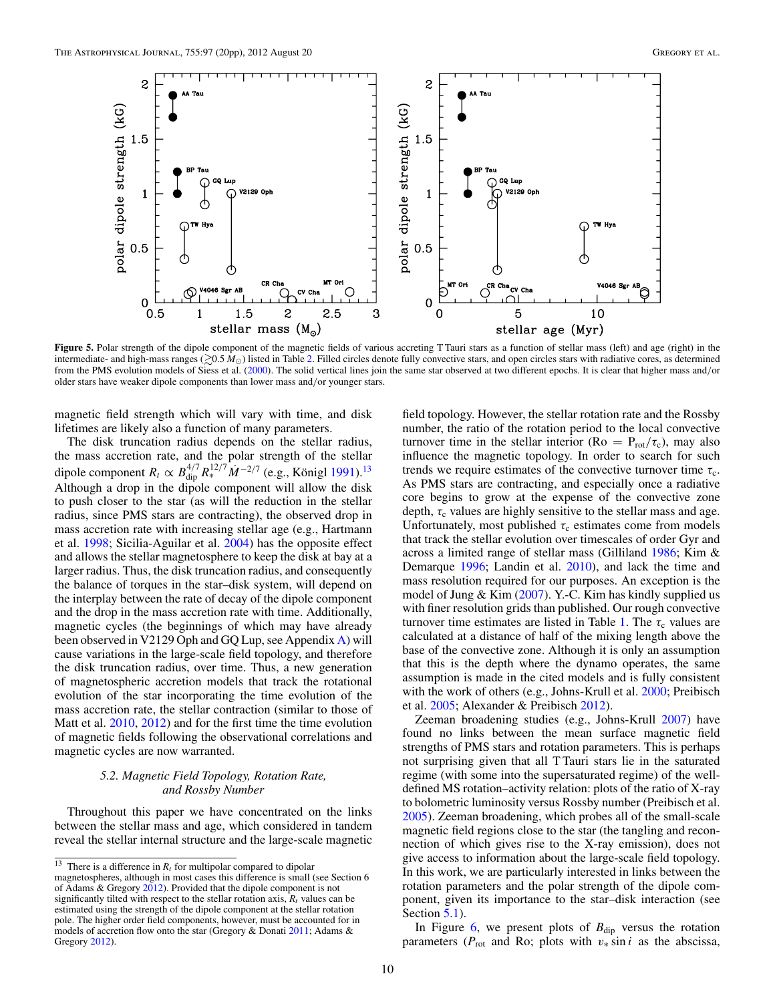<span id="page-9-0"></span>

**Figure 5.** Polar strength of the dipole component of the magnetic fields of various accreting T Tauri stars as a function of stellar mass (left) and age (right) in the intermediate- and high-mass ranges  $(\geq 0.5 M_{\odot})$  listed in Table [2.](#page-16-0) Filled circles denote fully convective stars, and open circles stars with radiative cores, as determined from the PMS evolution models of Siess et al. [\(2000\)](#page-19-0). The solid vertical lines join the same star observed at two different epochs. It is clear that higher mass and*/*or older stars have weaker dipole components than lower mass and*/*or younger stars.

magnetic field strength which will vary with time, and disk lifetimes are likely also a function of many parameters.

The disk truncation radius depends on the stellar radius, the mass accretion rate, and the polar strength of the stellar dipole component  $R_t \propto B_{\text{dip}}^{4/7} R_*^{12/7} \dot{M}^{-2/7}$  (e.g., Königl [1991\)](#page-18-0).<sup>13</sup> Although a drop in the dipole component will allow the disk to push closer to the star (as will the reduction in the stellar radius, since PMS stars are contracting), the observed drop in mass accretion rate with increasing stellar age (e.g., Hartmann et al. [1998;](#page-18-0) Sicilia-Aguilar et al. [2004\)](#page-19-0) has the opposite effect and allows the stellar magnetosphere to keep the disk at bay at a larger radius. Thus, the disk truncation radius, and consequently the balance of torques in the star–disk system, will depend on the interplay between the rate of decay of the dipole component and the drop in the mass accretion rate with time. Additionally, magnetic cycles (the beginnings of which may have already been observed in V2129 Oph and GQ Lup, see Appendix [A\)](#page-13-0) will cause variations in the large-scale field topology, and therefore the disk truncation radius, over time. Thus, a new generation of magnetospheric accretion models that track the rotational evolution of the star incorporating the time evolution of the mass accretion rate, the stellar contraction (similar to those of Matt et al. [2010,](#page-18-0) [2012\)](#page-18-0) and for the first time the time evolution of magnetic fields following the observational correlations and magnetic cycles are now warranted.

# *5.2. Magnetic Field Topology, Rotation Rate, and Rossby Number*

Throughout this paper we have concentrated on the links between the stellar mass and age, which considered in tandem reveal the stellar internal structure and the large-scale magnetic

field topology. However, the stellar rotation rate and the Rossby number, the ratio of the rotation period to the local convective turnover time in the stellar interior ( $Ro = P_{rot}/\tau_c$ ), may also influence the magnetic topology. In order to search for such trends we require estimates of the convective turnover time  $\tau_c$ . As PMS stars are contracting, and especially once a radiative core begins to grow at the expense of the convective zone depth,  $\tau_c$  values are highly sensitive to the stellar mass and age. Unfortunately, most published  $\tau_c$  estimates come from models that track the stellar evolution over timescales of order Gyr and across a limited range of stellar mass (Gilliland [1986;](#page-18-0) Kim & Demarque [1996;](#page-18-0) Landin et al. [2010\)](#page-18-0), and lack the time and mass resolution required for our purposes. An exception is the model of Jung & Kim [\(2007\)](#page-18-0). Y.-C. Kim has kindly supplied us with finer resolution grids than published. Our rough convective turnover time estimates are listed in Table [1.](#page-15-0) The  $\tau_c$  values are calculated at a distance of half of the mixing length above the base of the convective zone. Although it is only an assumption that this is the depth where the dynamo operates, the same assumption is made in the cited models and is fully consistent with the work of others (e.g., Johns-Krull et al. [2000;](#page-18-0) Preibisch et al. [2005;](#page-19-0) Alexander & Preibisch [2012\)](#page-18-0).

Zeeman broadening studies (e.g., Johns-Krull [2007\)](#page-18-0) have found no links between the mean surface magnetic field strengths of PMS stars and rotation parameters. This is perhaps not surprising given that all T Tauri stars lie in the saturated regime (with some into the supersaturated regime) of the welldefined MS rotation–activity relation: plots of the ratio of X-ray to bolometric luminosity versus Rossby number (Preibisch et al. [2005\)](#page-19-0). Zeeman broadening, which probes all of the small-scale magnetic field regions close to the star (the tangling and reconnection of which gives rise to the X-ray emission), does not give access to information about the large-scale field topology. In this work, we are particularly interested in links between the rotation parameters and the polar strength of the dipole component, given its importance to the star–disk interaction (see Section [5.1\)](#page-8-0).

In Figure [6,](#page-10-0) we present plots of  $B_{\text{dip}}$  versus the rotation parameters ( $P_{\text{rot}}$  and Ro; plots with  $v_* \sin i$  as the abscissa,

<sup>&</sup>lt;sup>13</sup> There is a difference in  $R_t$  for multipolar compared to dipolar magnetospheres, although in most cases this difference is small (see Section 6 of Adams & Gregory [2012\)](#page-18-0). Provided that the dipole component is not significantly tilted with respect to the stellar rotation axis,  $R_t$  values can be estimated using the strength of the dipole component at the stellar rotation pole. The higher order field components, however, must be accounted for in models of accretion flow onto the star (Gregory & Donati [2011;](#page-18-0) Adams & Gregory [2012\)](#page-18-0).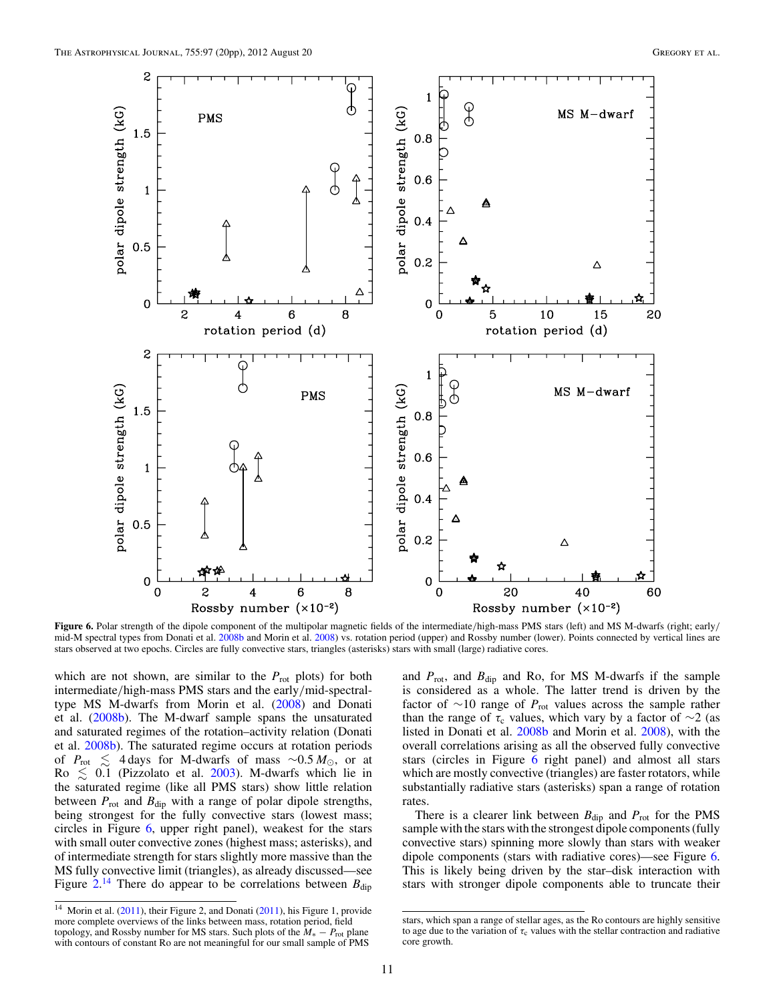<span id="page-10-0"></span>

**Figure 6.** Polar strength of the dipole component of the multipolar magnetic fields of the intermediate*/*high-mass PMS stars (left) and MS M-dwarfs (right; early*/* mid-M spectral types from Donati et al. [2008b](#page-18-0) and Morin et al. [2008\)](#page-18-0) vs. rotation period (upper) and Rossby number (lower). Points connected by vertical lines are stars observed at two epochs. Circles are fully convective stars, triangles (asterisks) stars with small (large) radiative cores.

which are not shown, are similar to the  $P_{\text{rot}}$  plots) for both intermediate*/*high-mass PMS stars and the early*/*mid-spectraltype MS M-dwarfs from Morin et al. [\(2008\)](#page-18-0) and Donati et al. [\(2008b\)](#page-18-0). The M-dwarf sample spans the unsaturated and saturated regimes of the rotation–activity relation (Donati et al. [2008b\)](#page-18-0). The saturated regime occurs at rotation periods of *P*rot 4 days for M-dwarfs of mass ∼0.5 *M*, or at Ro  $\leq$  0.1 (Pizzolato et al. [2003\)](#page-18-0). M-dwarfs which lie in the saturated regime (like all PMS stars) show little relation between  $P_{\text{rot}}$  and  $B_{\text{dip}}$  with a range of polar dipole strengths, being strongest for the fully convective stars (lowest mass; circles in Figure 6, upper right panel), weakest for the stars with small outer convective zones (highest mass; asterisks), and of intermediate strength for stars slightly more massive than the MS fully convective limit (triangles), as already discussed—see Figure  $2^{14}$  There do appear to be correlations between  $B_{\text{dip}}$ 

and  $P_{\text{rot}}$ , and  $B_{\text{dip}}$  and Ro, for MS M-dwarfs if the sample is considered as a whole. The latter trend is driven by the factor of ∼10 range of *P*rot values across the sample rather than the range of  $\tau_c$  values, which vary by a factor of  $\sim$ 2 (as listed in Donati et al. [2008b](#page-18-0) and Morin et al. [2008\)](#page-18-0), with the overall correlations arising as all the observed fully convective stars (circles in Figure 6 right panel) and almost all stars which are mostly convective (triangles) are faster rotators, while substantially radiative stars (asterisks) span a range of rotation rates.

There is a clearer link between  $B_{\text{dip}}$  and  $P_{\text{rot}}$  for the PMS sample with the stars with the strongest dipole components (fully convective stars) spinning more slowly than stars with weaker dipole components (stars with radiative cores)—see Figure 6. This is likely being driven by the star–disk interaction with stars with stronger dipole components able to truncate their

<sup>&</sup>lt;sup>14</sup> Morin et al. [\(2011\)](#page-18-0), their Figure 2, and Donati (2011), his Figure 1, provide more complete overviews of the links between mass, rotation period, field topology, and Rossby number for MS stars. Such plots of the  $M_* - P_{rot}$  plane with contours of constant Ro are not meaningful for our small sample of PMS

stars, which span a range of stellar ages, as the Ro contours are highly sensitive to age due to the variation of  $\tau_c$  values with the stellar contraction and radiative core growth.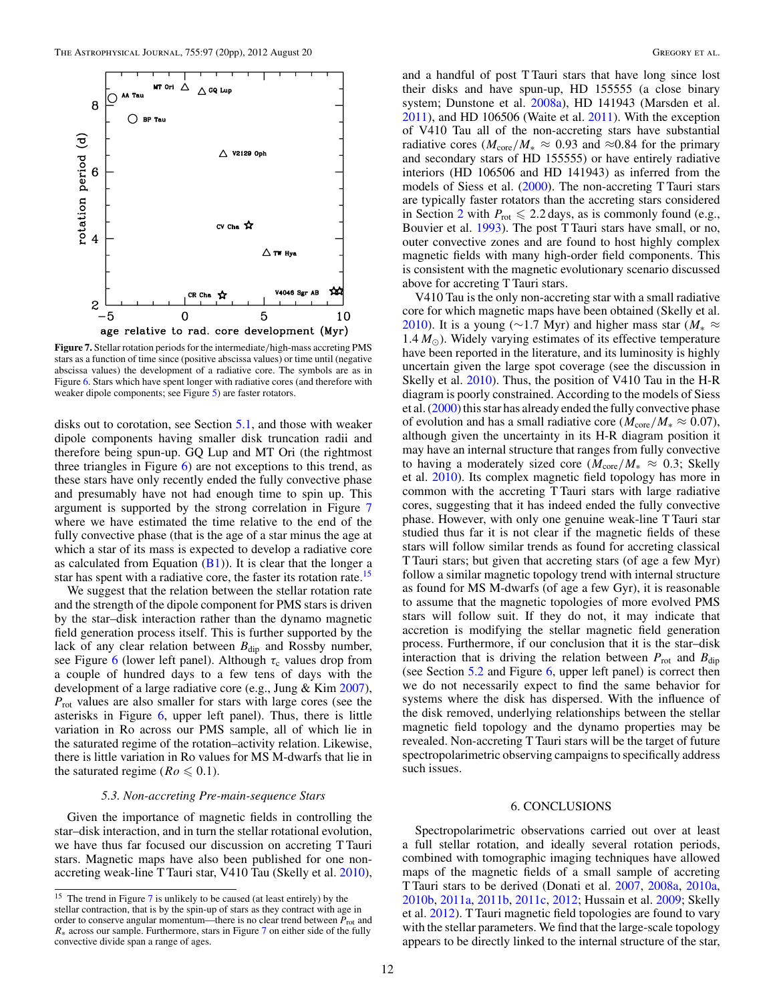<span id="page-11-0"></span>

**Figure 7.** Stellar rotation periods for the intermediate*/*high-mass accreting PMS stars as a function of time since (positive abscissa values) or time until (negative abscissa values) the development of a radiative core. The symbols are as in Figure [6.](#page-10-0) Stars which have spent longer with radiative cores (and therefore with weaker dipole components; see Figure [5\)](#page-9-0) are faster rotators.

disks out to corotation, see Section [5.1,](#page-8-0) and those with weaker dipole components having smaller disk truncation radii and therefore being spun-up. GQ Lup and MT Ori (the rightmost three triangles in Figure [6\)](#page-10-0) are not exceptions to this trend, as these stars have only recently ended the fully convective phase and presumably have not had enough time to spin up. This argument is supported by the strong correlation in Figure 7 where we have estimated the time relative to the end of the fully convective phase (that is the age of a star minus the age at which a star of its mass is expected to develop a radiative core as calculated from Equation  $(B1)$ ). It is clear that the longer a star has spent with a radiative core, the faster its rotation rate.<sup>15</sup>

We suggest that the relation between the stellar rotation rate and the strength of the dipole component for PMS stars is driven by the star–disk interaction rather than the dynamo magnetic field generation process itself. This is further supported by the lack of any clear relation between  $B_{\text{dip}}$  and Rossby number, see Figure [6](#page-10-0) (lower left panel). Although  $\tau_c$  values drop from a couple of hundred days to a few tens of days with the development of a large radiative core (e.g., Jung & Kim [2007\)](#page-18-0), *P*rot values are also smaller for stars with large cores (see the asterisks in Figure [6,](#page-10-0) upper left panel). Thus, there is little variation in Ro across our PMS sample, all of which lie in the saturated regime of the rotation–activity relation. Likewise, there is little variation in Ro values for MS M-dwarfs that lie in the saturated regime ( $Ro \leq 0.1$ ).

#### *5.3. Non-accreting Pre-main-sequence Stars*

Given the importance of magnetic fields in controlling the star–disk interaction, and in turn the stellar rotational evolution, we have thus far focused our discussion on accreting T Tauri stars. Magnetic maps have also been published for one nonaccreting weak-line T Tauri star, V410 Tau (Skelly et al. [2010\)](#page-19-0),

and a handful of post T Tauri stars that have long since lost their disks and have spun-up, HD 155555 (a close binary system; Dunstone et al. [2008a\)](#page-18-0), HD 141943 (Marsden et al.  $2011$ ), and HD 106506 (Waite et al.  $2011$ ). With the exception of V410 Tau all of the non-accreting stars have substantial radiative cores ( $M_{\text{core}}/M_* \approx 0.93$  and ≈0.84 for the primary and secondary stars of HD 155555) or have entirely radiative interiors (HD 106506 and HD 141943) as inferred from the models of Siess et al. [\(2000\)](#page-19-0). The non-accreting T Tauri stars are typically faster rotators than the accreting stars considered in Section [2](#page-2-0) with  $P_{\text{rot}} \le 2.2$  days, as is commonly found (e.g., Bouvier et al. [1993\)](#page-18-0). The post T Tauri stars have small, or no, outer convective zones and are found to host highly complex magnetic fields with many high-order field components. This is consistent with the magnetic evolutionary scenario discussed above for accreting T Tauri stars.

V410 Tau is the only non-accreting star with a small radiative core for which magnetic maps have been obtained (Skelly et al. [2010\)](#page-19-0). It is a young ( $\sim$ 1.7 Myr) and higher mass star ( $M_* \approx$ 1.4  $M_{\odot}$ ). Widely varying estimates of its effective temperature have been reported in the literature, and its luminosity is highly uncertain given the large spot coverage (see the discussion in Skelly et al. [2010\)](#page-19-0). Thus, the position of V410 Tau in the H-R diagram is poorly constrained. According to the models of Siess et al. [\(2000\)](#page-19-0) this star has already ended the fully convective phase of evolution and has a small radiative core ( $M_{\text{core}}/M_* \approx 0.07$ ), although given the uncertainty in its H-R diagram position it may have an internal structure that ranges from fully convective to having a moderately sized core ( $M_{\text{core}}/M_* \approx 0.3$ ; Skelly et al. [2010\)](#page-19-0). Its complex magnetic field topology has more in common with the accreting T Tauri stars with large radiative cores, suggesting that it has indeed ended the fully convective phase. However, with only one genuine weak-line T Tauri star studied thus far it is not clear if the magnetic fields of these stars will follow similar trends as found for accreting classical T Tauri stars; but given that accreting stars (of age a few Myr) follow a similar magnetic topology trend with internal structure as found for MS M-dwarfs (of age a few Gyr), it is reasonable to assume that the magnetic topologies of more evolved PMS stars will follow suit. If they do not, it may indicate that accretion is modifying the stellar magnetic field generation process. Furthermore, if our conclusion that it is the star–disk interaction that is driving the relation between  $P_{\text{rot}}$  and  $B_{\text{dip}}$ (see Section [5.2](#page-9-0) and Figure [6,](#page-10-0) upper left panel) is correct then we do not necessarily expect to find the same behavior for systems where the disk has dispersed. With the influence of the disk removed, underlying relationships between the stellar magnetic field topology and the dynamo properties may be revealed. Non-accreting T Tauri stars will be the target of future spectropolarimetric observing campaigns to specifically address such issues.

### 6. CONCLUSIONS

Spectropolarimetric observations carried out over at least a full stellar rotation, and ideally several rotation periods, combined with tomographic imaging techniques have allowed maps of the magnetic fields of a small sample of accreting T Tauri stars to be derived (Donati et al. [2007,](#page-18-0) [2008a,](#page-18-0) [2010a,](#page-18-0) [2010b,](#page-18-0) [2011a,](#page-18-0) [2011b,](#page-18-0) [2011c,](#page-18-0) [2012;](#page-18-0) Hussain et al. [2009;](#page-18-0) Skelly et al. [2012\)](#page-19-0). T Tauri magnetic field topologies are found to vary with the stellar parameters. We find that the large-scale topology appears to be directly linked to the internal structure of the star,

<sup>&</sup>lt;sup>15</sup> The trend in Figure 7 is unlikely to be caused (at least entirely) by the stellar contraction, that is by the spin-up of stars as they contract with age in order to conserve angular momentum—there is no clear trend between  $\overline{P}_{\text{rot}}$  and *R*<sup>∗</sup> across our sample. Furthermore, stars in Figure 7 on either side of the fully convective divide span a range of ages.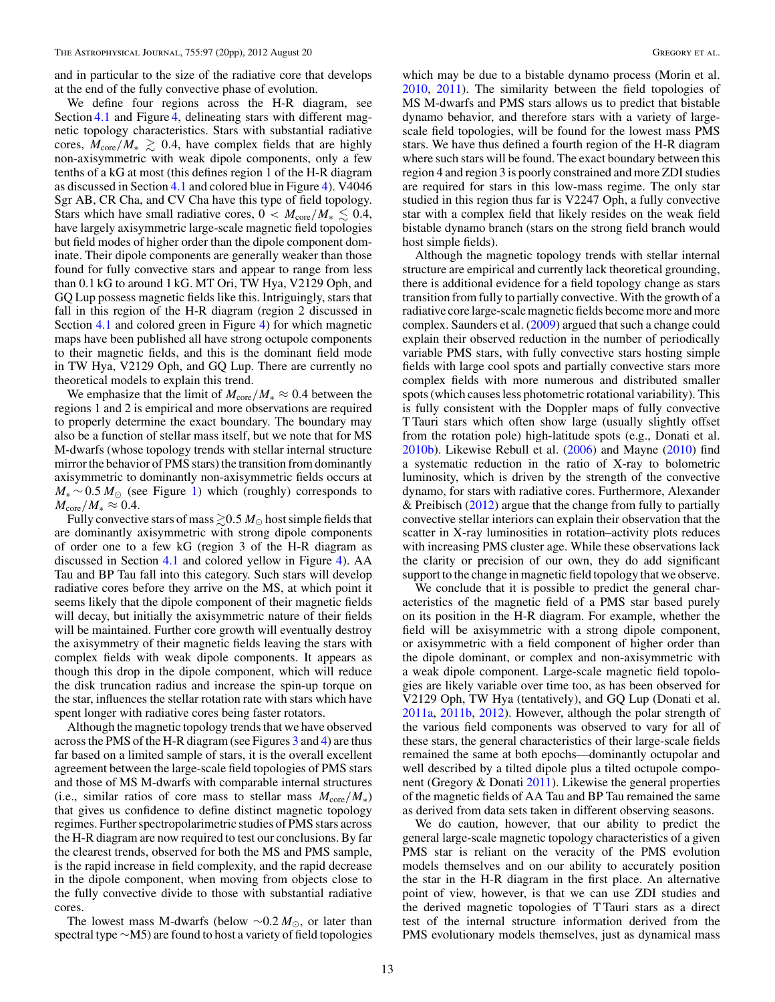and in particular to the size of the radiative core that develops at the end of the fully convective phase of evolution.

We define four regions across the H-R diagram, see Section [4.1](#page-6-0) and Figure [4,](#page-6-0) delineating stars with different magnetic topology characteristics. Stars with substantial radiative cores,  $M_{\text{core}}/M_* \gtrsim 0.4$ , have complex fields that are highly non-axisymmetric with weak dipole components, only a few tenths of a kG at most (this defines region 1 of the H-R diagram as discussed in Section [4.1](#page-6-0) and colored blue in Figure [4\)](#page-6-0). V4046 Sgr AB, CR Cha, and CV Cha have this type of field topology. Stars which have small radiative cores,  $0 < M_{\text{core}}/M_* \lesssim 0.4$ , have largely axisymmetric large-scale magnetic field topologies but field modes of higher order than the dipole component dominate. Their dipole components are generally weaker than those found for fully convective stars and appear to range from less than 0*.*1 kG to around 1 kG. MT Ori, TW Hya, V2129 Oph, and GQ Lup possess magnetic fields like this. Intriguingly, stars that fall in this region of the H-R diagram (region 2 discussed in Section [4.1](#page-6-0) and colored green in Figure [4\)](#page-6-0) for which magnetic maps have been published all have strong octupole components to their magnetic fields, and this is the dominant field mode in TW Hya, V2129 Oph, and GQ Lup. There are currently no theoretical models to explain this trend.

We emphasize that the limit of  $M_{\text{core}}/M_* \approx 0.4$  between the regions 1 and 2 is empirical and more observations are required to properly determine the exact boundary. The boundary may also be a function of stellar mass itself, but we note that for MS M-dwarfs (whose topology trends with stellar internal structure mirror the behavior of PMS stars) the transition from dominantly axisymmetric to dominantly non-axisymmetric fields occurs at  $M_* \sim 0.5 M_{\odot}$  (see Figure [1\)](#page-2-0) which (roughly) corresponds to  $M_{\text{core}}/M_* \approx 0.4$ .

Fully convective stars of mass  $\gtrsim$  0.5  $M_{\odot}$  host simple fields that are dominantly axisymmetric with strong dipole components of order one to a few kG (region 3 of the H-R diagram as discussed in Section [4.1](#page-6-0) and colored yellow in Figure [4\)](#page-6-0). AA Tau and BP Tau fall into this category. Such stars will develop radiative cores before they arrive on the MS, at which point it seems likely that the dipole component of their magnetic fields will decay, but initially the axisymmetric nature of their fields will be maintained. Further core growth will eventually destroy the axisymmetry of their magnetic fields leaving the stars with complex fields with weak dipole components. It appears as though this drop in the dipole component, which will reduce the disk truncation radius and increase the spin-up torque on the star, influences the stellar rotation rate with stars which have spent longer with radiative cores being faster rotators.

Although the magnetic topology trends that we have observed across the PMS of the H-R diagram (see Figures [3](#page-5-0) and [4\)](#page-6-0) are thus far based on a limited sample of stars, it is the overall excellent agreement between the large-scale field topologies of PMS stars and those of MS M-dwarfs with comparable internal structures (i.e., similar ratios of core mass to stellar mass  $M_{\text{core}}/M_*$ ) that gives us confidence to define distinct magnetic topology regimes. Further spectropolarimetric studies of PMS stars across the H-R diagram are now required to test our conclusions. By far the clearest trends, observed for both the MS and PMS sample, is the rapid increase in field complexity, and the rapid decrease in the dipole component, when moving from objects close to the fully convective divide to those with substantial radiative cores.

The lowest mass M-dwarfs (below  $\sim 0.2 M_{\odot}$ , or later than spectral type ∼M5) are found to host a variety of field topologies which may be due to a bistable dynamo process (Morin et al. [2010,](#page-18-0) [2011\)](#page-18-0). The similarity between the field topologies of MS M-dwarfs and PMS stars allows us to predict that bistable dynamo behavior, and therefore stars with a variety of largescale field topologies, will be found for the lowest mass PMS stars. We have thus defined a fourth region of the H-R diagram where such stars will be found. The exact boundary between this region 4 and region 3 is poorly constrained and more ZDI studies are required for stars in this low-mass regime. The only star studied in this region thus far is V2247 Oph, a fully convective star with a complex field that likely resides on the weak field bistable dynamo branch (stars on the strong field branch would host simple fields).

Although the magnetic topology trends with stellar internal structure are empirical and currently lack theoretical grounding, there is additional evidence for a field topology change as stars transition from fully to partially convective. With the growth of a radiative core large-scale magnetic fields become more and more complex. Saunders et al. [\(2009\)](#page-19-0) argued that such a change could explain their observed reduction in the number of periodically variable PMS stars, with fully convective stars hosting simple fields with large cool spots and partially convective stars more complex fields with more numerous and distributed smaller spots (which causes less photometric rotational variability). This is fully consistent with the Doppler maps of fully convective T Tauri stars which often show large (usually slightly offset from the rotation pole) high-latitude spots (e.g., Donati et al. [2010b\)](#page-18-0). Likewise Rebull et al. [\(2006\)](#page-19-0) and Mayne [\(2010\)](#page-18-0) find a systematic reduction in the ratio of X-ray to bolometric luminosity, which is driven by the strength of the convective dynamo, for stars with radiative cores. Furthermore, Alexander & Preibisch  $(2012)$  argue that the change from fully to partially convective stellar interiors can explain their observation that the scatter in X-ray luminosities in rotation–activity plots reduces with increasing PMS cluster age. While these observations lack the clarity or precision of our own, they do add significant support to the change in magnetic field topology that we observe.

We conclude that it is possible to predict the general characteristics of the magnetic field of a PMS star based purely on its position in the H-R diagram. For example, whether the field will be axisymmetric with a strong dipole component, or axisymmetric with a field component of higher order than the dipole dominant, or complex and non-axisymmetric with a weak dipole component. Large-scale magnetic field topologies are likely variable over time too, as has been observed for V2129 Oph, TW Hya (tentatively), and GQ Lup (Donati et al. [2011a,](#page-18-0) [2011b,](#page-18-0) [2012\)](#page-18-0). However, although the polar strength of the various field components was observed to vary for all of these stars, the general characteristics of their large-scale fields remained the same at both epochs—dominantly octupolar and well described by a tilted dipole plus a tilted octupole component (Gregory & Donati [2011\)](#page-18-0). Likewise the general properties of the magnetic fields of AA Tau and BP Tau remained the same as derived from data sets taken in different observing seasons.

We do caution, however, that our ability to predict the general large-scale magnetic topology characteristics of a given PMS star is reliant on the veracity of the PMS evolution models themselves and on our ability to accurately position the star in the H-R diagram in the first place. An alternative point of view, however, is that we can use ZDI studies and the derived magnetic topologies of T Tauri stars as a direct test of the internal structure information derived from the PMS evolutionary models themselves, just as dynamical mass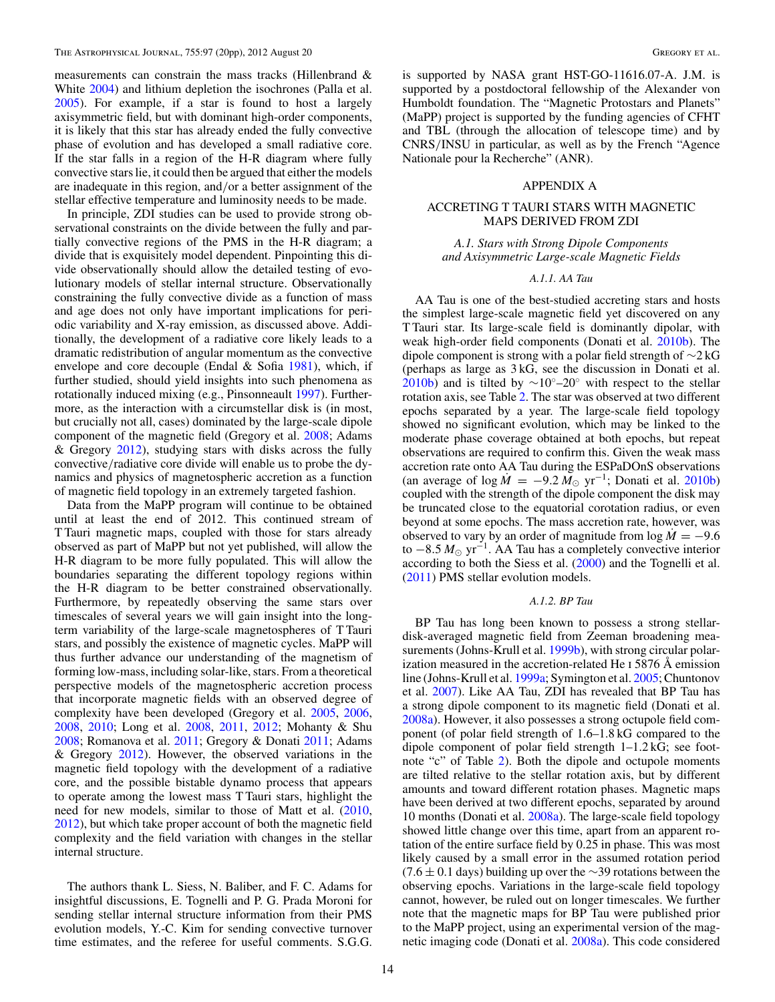<span id="page-13-0"></span>measurements can constrain the mass tracks (Hillenbrand & White [2004\)](#page-18-0) and lithium depletion the isochrones (Palla et al. [2005\)](#page-18-0). For example, if a star is found to host a largely axisymmetric field, but with dominant high-order components, it is likely that this star has already ended the fully convective phase of evolution and has developed a small radiative core. If the star falls in a region of the H-R diagram where fully convective stars lie, it could then be argued that either the models are inadequate in this region, and*/*or a better assignment of the stellar effective temperature and luminosity needs to be made.

In principle, ZDI studies can be used to provide strong observational constraints on the divide between the fully and partially convective regions of the PMS in the H-R diagram; a divide that is exquisitely model dependent. Pinpointing this divide observationally should allow the detailed testing of evolutionary models of stellar internal structure. Observationally constraining the fully convective divide as a function of mass and age does not only have important implications for periodic variability and X-ray emission, as discussed above. Additionally, the development of a radiative core likely leads to a dramatic redistribution of angular momentum as the convective envelope and core decouple (Endal & Sofia [1981\)](#page-18-0), which, if further studied, should yield insights into such phenomena as rotationally induced mixing (e.g., Pinsonneault [1997\)](#page-18-0). Furthermore, as the interaction with a circumstellar disk is (in most, but crucially not all, cases) dominated by the large-scale dipole component of the magnetic field (Gregory et al. [2008;](#page-18-0) Adams  $& Gregory\ 2012$ , studying stars with disks across the fully convective*/*radiative core divide will enable us to probe the dynamics and physics of magnetospheric accretion as a function of magnetic field topology in an extremely targeted fashion.

Data from the MaPP program will continue to be obtained until at least the end of 2012. This continued stream of T Tauri magnetic maps, coupled with those for stars already observed as part of MaPP but not yet published, will allow the H-R diagram to be more fully populated. This will allow the boundaries separating the different topology regions within the H-R diagram to be better constrained observationally. Furthermore, by repeatedly observing the same stars over timescales of several years we will gain insight into the longterm variability of the large-scale magnetospheres of T Tauri stars, and possibly the existence of magnetic cycles. MaPP will thus further advance our understanding of the magnetism of forming low-mass, including solar-like, stars. From a theoretical perspective models of the magnetospheric accretion process that incorporate magnetic fields with an observed degree of complexity have been developed (Gregory et al. [2005,](#page-18-0) [2006,](#page-18-0) [2008,](#page-18-0) [2010;](#page-18-0) Long et al. [2008,](#page-18-0) [2011,](#page-18-0) [2012;](#page-18-0) Mohanty & Shu [2008;](#page-18-0) Romanova et al. [2011;](#page-19-0) Gregory & Donati [2011;](#page-18-0) Adams  $& Gregory\ 2012$ . However, the observed variations in the magnetic field topology with the development of a radiative core, and the possible bistable dynamo process that appears to operate among the lowest mass T Tauri stars, highlight the need for new models, similar to those of Matt et al. [\(2010,](#page-18-0) [2012\)](#page-18-0), but which take proper account of both the magnetic field complexity and the field variation with changes in the stellar internal structure.

The authors thank L. Siess, N. Baliber, and F. C. Adams for insightful discussions, E. Tognelli and P. G. Prada Moroni for sending stellar internal structure information from their PMS evolution models, Y.-C. Kim for sending convective turnover time estimates, and the referee for useful comments. S.G.G.

is supported by NASA grant HST-GO-11616.07-A. J.M. is supported by a postdoctoral fellowship of the Alexander von Humboldt foundation. The "Magnetic Protostars and Planets" (MaPP) project is supported by the funding agencies of CFHT and TBL (through the allocation of telescope time) and by CNRS*/*INSU in particular, as well as by the French "Agence Nationale pour la Recherche" (ANR).

#### APPENDIX A

### ACCRETING T TAURI STARS WITH MAGNETIC MAPS DERIVED FROM ZDI

# *A.1. Stars with Strong Dipole Components and Axisymmetric Large-scale Magnetic Fields*

### *A.1.1. AA Tau*

AA Tau is one of the best-studied accreting stars and hosts the simplest large-scale magnetic field yet discovered on any T Tauri star. Its large-scale field is dominantly dipolar, with weak high-order field components (Donati et al. [2010b\)](#page-18-0). The dipole component is strong with a polar field strength of ∼2 kG (perhaps as large as 3 kG, see the discussion in Donati et al. [2010b\)](#page-18-0) and is tilted by  $\sim 10^{\circ}$ –20° with respect to the stellar rotation axis, see Table [2.](#page-16-0) The star was observed at two different epochs separated by a year. The large-scale field topology showed no significant evolution, which may be linked to the moderate phase coverage obtained at both epochs, but repeat observations are required to confirm this. Given the weak mass accretion rate onto AA Tau during the ESPaDOnS observations (an average of  $\log \dot{M} = -9.2 \,\tilde{M_{\odot}} \, \text{yr}^{-1}$ ; Donati et al. [2010b\)](#page-18-0) coupled with the strength of the dipole component the disk may be truncated close to the equatorial corotation radius, or even beyond at some epochs. The mass accretion rate, however, was observed to vary by an order of magnitude from  $\log \dot{M} = -9.6$ to  $-8.5 M_{\odot}$  yr<sup>-1</sup>. AA Tau has a completely convective interior according to both the Siess et al. [\(2000\)](#page-19-0) and the Tognelli et al. [\(2011\)](#page-19-0) PMS stellar evolution models.

#### *A.1.2. BP Tau*

BP Tau has long been known to possess a strong stellardisk-averaged magnetic field from Zeeman broadening mea-surements (Johns-Krull et al. [1999b\)](#page-18-0), with strong circular polarization measured in the accretion-related He i 5876 Å emission line (Johns-Krull et al. [1999a;](#page-18-0) Symington et al. [2005;](#page-19-0) Chuntonov et al. [2007\)](#page-18-0). Like AA Tau, ZDI has revealed that BP Tau has a strong dipole component to its magnetic field (Donati et al. [2008a\)](#page-18-0). However, it also possesses a strong octupole field component (of polar field strength of 1.6–1.8 kG compared to the dipole component of polar field strength 1–1.2 kG; see footnote "c" of Table [2\)](#page-16-0). Both the dipole and octupole moments are tilted relative to the stellar rotation axis, but by different amounts and toward different rotation phases. Magnetic maps have been derived at two different epochs, separated by around 10 months (Donati et al. [2008a\)](#page-18-0). The large-scale field topology showed little change over this time, apart from an apparent rotation of the entire surface field by 0.25 in phase. This was most likely caused by a small error in the assumed rotation period  $(7.6 \pm 0.1$  days) building up over the ∼39 rotations between the observing epochs. Variations in the large-scale field topology cannot, however, be ruled out on longer timescales. We further note that the magnetic maps for BP Tau were published prior to the MaPP project, using an experimental version of the magnetic imaging code (Donati et al. [2008a\)](#page-18-0). This code considered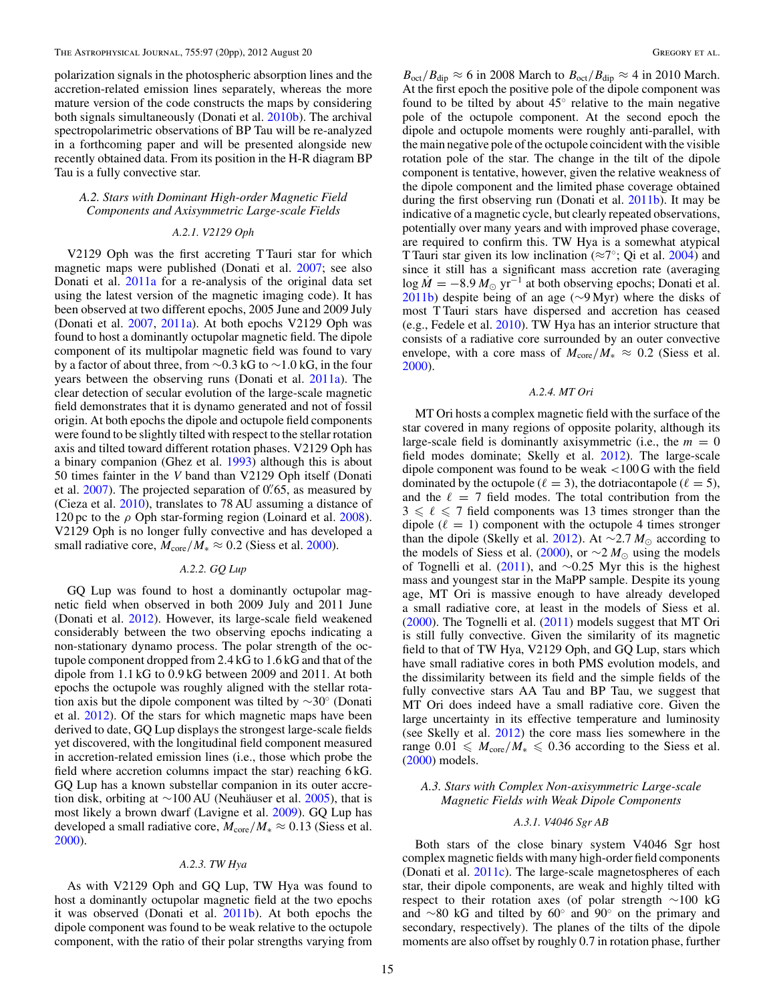<span id="page-14-0"></span>polarization signals in the photospheric absorption lines and the accretion-related emission lines separately, whereas the more mature version of the code constructs the maps by considering both signals simultaneously (Donati et al. [2010b\)](#page-18-0). The archival spectropolarimetric observations of BP Tau will be re-analyzed in a forthcoming paper and will be presented alongside new recently obtained data. From its position in the H-R diagram BP Tau is a fully convective star.

# *A.2. Stars with Dominant High-order Magnetic Field Components and Axisymmetric Large-scale Fields*

### *A.2.1. V2129 Oph*

V2129 Oph was the first accreting T Tauri star for which magnetic maps were published (Donati et al. [2007;](#page-18-0) see also Donati et al. [2011a](#page-18-0) for a re-analysis of the original data set using the latest version of the magnetic imaging code). It has been observed at two different epochs, 2005 June and 2009 July (Donati et al. [2007,](#page-18-0) [2011a\)](#page-18-0). At both epochs V2129 Oph was found to host a dominantly octupolar magnetic field. The dipole component of its multipolar magnetic field was found to vary by a factor of about three, from ∼0.3 kG to ∼1.0 kG, in the four years between the observing runs (Donati et al. [2011a\)](#page-18-0). The clear detection of secular evolution of the large-scale magnetic field demonstrates that it is dynamo generated and not of fossil origin. At both epochs the dipole and octupole field components were found to be slightly tilted with respect to the stellar rotation axis and tilted toward different rotation phases. V2129 Oph has a binary companion (Ghez et al. [1993\)](#page-18-0) although this is about 50 times fainter in the *V* band than V2129 Oph itself (Donati et al.  $2007$ ). The projected separation of  $0\rlap.{''}65$ , as measured by (Cieza et al. [2010\)](#page-18-0), translates to 78 AU assuming a distance of 120 pc to the  $\rho$  Oph star-forming region (Loinard et al. [2008\)](#page-18-0). V2129 Oph is no longer fully convective and has developed a small radiative core,  $\dot{M}_{\text{core}}/M_* \approx 0.2$  (Siess et al. [2000\)](#page-19-0).

# *A.2.2. GQ Lup*

GQ Lup was found to host a dominantly octupolar magnetic field when observed in both 2009 July and 2011 June (Donati et al. [2012\)](#page-18-0). However, its large-scale field weakened considerably between the two observing epochs indicating a non-stationary dynamo process. The polar strength of the octupole component dropped from 2*.*4 kG to 1*.*6 kG and that of the dipole from 1*.*1 kG to 0*.*9 kG between 2009 and 2011. At both epochs the octupole was roughly aligned with the stellar rotation axis but the dipole component was tilted by ∼30◦ (Donati et al. [2012\)](#page-18-0). Of the stars for which magnetic maps have been derived to date, GQ Lup displays the strongest large-scale fields yet discovered, with the longitudinal field component measured in accretion-related emission lines (i.e., those which probe the field where accretion columns impact the star) reaching 6 kG. GQ Lup has a known substellar companion in its outer accretion disk, orbiting at  $\sim$ 100 AU (Neuhäuser et al. [2005\)](#page-18-0), that is most likely a brown dwarf (Lavigne et al. [2009\)](#page-18-0). GQ Lup has developed a small radiative core,  $M_{\text{core}}/M_* \approx 0.13$  (Siess et al. [2000\)](#page-19-0).

### *A.2.3. TW Hya*

As with V2129 Oph and GQ Lup, TW Hya was found to host a dominantly octupolar magnetic field at the two epochs it was observed (Donati et al. [2011b\)](#page-18-0). At both epochs the dipole component was found to be weak relative to the octupole component, with the ratio of their polar strengths varying from

 $B_{\text{oct}}/B_{\text{dip}} \approx 6$  in 2008 March to  $B_{\text{oct}}/B_{\text{dip}} \approx 4$  in 2010 March. At the first epoch the positive pole of the dipole component was found to be tilted by about  $45^\circ$  relative to the main negative pole of the octupole component. At the second epoch the dipole and octupole moments were roughly anti-parallel, with the main negative pole of the octupole coincident with the visible rotation pole of the star. The change in the tilt of the dipole component is tentative, however, given the relative weakness of the dipole component and the limited phase coverage obtained during the first observing run (Donati et al. [2011b\)](#page-18-0). It may be indicative of a magnetic cycle, but clearly repeated observations, potentially over many years and with improved phase coverage, are required to confirm this. TW Hya is a somewhat atypical T Tauri star given its low inclination ( $\approx 7^{\circ}$ ; Qi et al. [2004\)](#page-19-0) and since it still has a significant mass accretion rate (averaging  $\log M = -8.9 M_{\odot} \text{ yr}^{-1}$  at both observing epochs; Donati et al. [2011b\)](#page-18-0) despite being of an age (∼9 Myr) where the disks of most T Tauri stars have dispersed and accretion has ceased (e.g., Fedele et al. [2010\)](#page-18-0). TW Hya has an interior structure that consists of a radiative core surrounded by an outer convective envelope, with a core mass of  $M_{\text{core}}/M_{*} \approx 0.2$  (Siess et al. [2000\)](#page-19-0).

#### *A.2.4. MT Ori*

MT Ori hosts a complex magnetic field with the surface of the star covered in many regions of opposite polarity, although its large-scale field is dominantly axisymmetric (i.e., the  $m = 0$ field modes dominate; Skelly et al. [2012\)](#page-19-0). The large-scale dipole component was found to be weak *<*100 G with the field dominated by the octupole ( $\ell = 3$ ), the dotriacontapole ( $\ell = 5$ ), and the  $\ell = 7$  field modes. The total contribution from the  $3 \le \ell \le 7$  field components was 13 times stronger than the dipole  $(\ell = 1)$  component with the octupole 4 times stronger than the dipole (Skelly et al. [2012\)](#page-19-0). At ~2.7  $M_{\odot}$  according to the models of Siess et al. [\(2000\)](#page-19-0), or  $\sim$ 2  $M_{\odot}$  using the models of Tognelli et al. [\(2011\)](#page-19-0), and ∼0.25 Myr this is the highest mass and youngest star in the MaPP sample. Despite its young age, MT Ori is massive enough to have already developed a small radiative core, at least in the models of Siess et al. [\(2000\)](#page-19-0). The Tognelli et al. [\(2011\)](#page-19-0) models suggest that MT Ori is still fully convective. Given the similarity of its magnetic field to that of TW Hya, V2129 Oph, and GQ Lup, stars which have small radiative cores in both PMS evolution models, and the dissimilarity between its field and the simple fields of the fully convective stars AA Tau and BP Tau, we suggest that MT Ori does indeed have a small radiative core. Given the large uncertainty in its effective temperature and luminosity (see Skelly et al. [2012\)](#page-19-0) the core mass lies somewhere in the range  $0.01 \leq M_{\text{core}}/M_{*} \leq 0.36$  according to the Siess et al. [\(2000\)](#page-19-0) models.

### *A.3. Stars with Complex Non-axisymmetric Large-scale Magnetic Fields with Weak Dipole Components*

### *A.3.1. V4046 Sgr AB*

Both stars of the close binary system V4046 Sgr host complex magnetic fields with many high-order field components (Donati et al. [2011c\)](#page-18-0). The large-scale magnetospheres of each star, their dipole components, are weak and highly tilted with respect to their rotation axes (of polar strength ∼100 kG and ∼80 kG and tilted by 60◦ and 90◦ on the primary and secondary, respectively). The planes of the tilts of the dipole moments are also offset by roughly 0.7 in rotation phase, further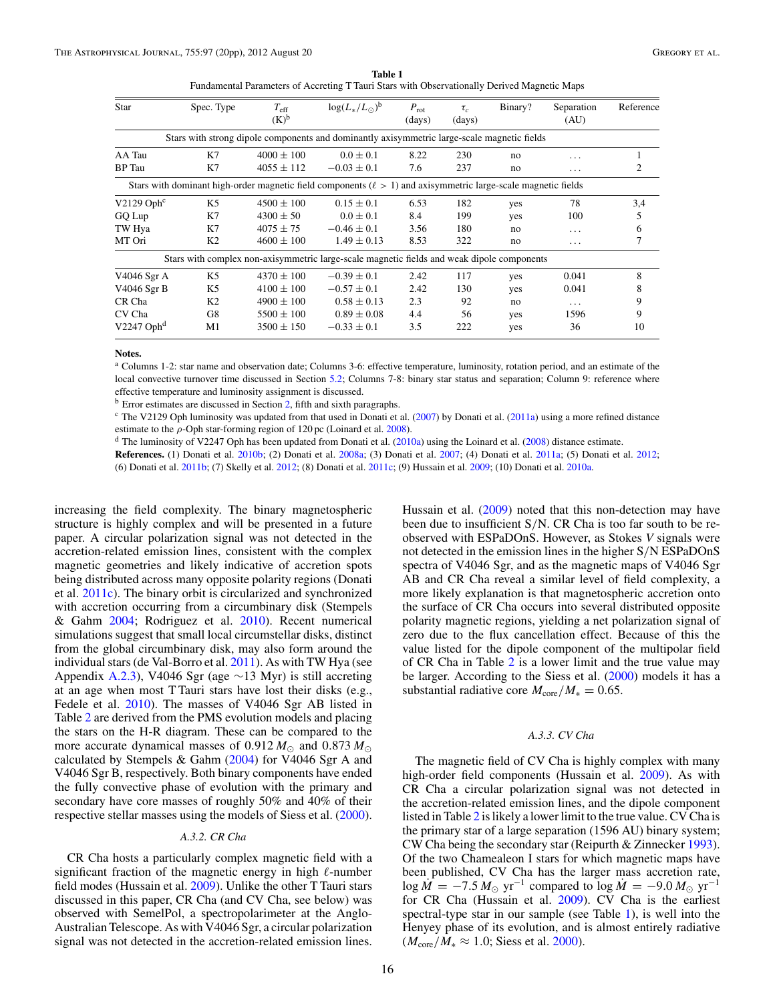**Table 1** Fundamental Parameters of Accreting T Tauri Stars with Observationally Derived Magnetic Maps

<span id="page-15-0"></span>

| Star                     | Spec. Type     | $T_{\rm eff}$<br>$(K)^b$ | $\log(L_{*}/L_{\odot})^{b}$                                                                                        | $P_{\rm rot}$<br>(days) | $\tau_c$<br>(days) | Binary? | Separation<br>(AU) | Reference |
|--------------------------|----------------|--------------------------|--------------------------------------------------------------------------------------------------------------------|-------------------------|--------------------|---------|--------------------|-----------|
|                          |                |                          | Stars with strong dipole components and dominantly axisymmetric large-scale magnetic fields                        |                         |                    |         |                    |           |
| AA Tau                   | K7             | $4000 \pm 100$           | $0.0 \pm 0.1$                                                                                                      | 8.22                    | 230                | no      | .                  |           |
| <b>BP</b> Tau            | K7             | $4055 \pm 112$           | $-0.03 \pm 0.1$                                                                                                    | 7.6                     | 237                | no      | .                  | 2         |
|                          |                |                          | Stars with dominant high-order magnetic field components $(\ell > 1)$ and axisymmetric large-scale magnetic fields |                         |                    |         |                    |           |
| $V2129$ Oph <sup>c</sup> | K <sub>5</sub> | $4500 \pm 100$           | $0.15 \pm 0.1$                                                                                                     | 6.53                    | 182                | yes     | 78                 | 3,4       |
| GQ Lup                   | K7             | $4300 \pm 50$            | $0.0 \pm 0.1$                                                                                                      | 8.4                     | 199                | yes     | 100                | 5         |
| TW Hya                   | K7             | $4075 + 75$              | $-0.46 \pm 0.1$                                                                                                    | 3.56                    | 180                | no      | .                  | 6         |
| MT Ori                   | K <sub>2</sub> | $4600 \pm 100$           | $1.49 \pm 0.13$                                                                                                    | 8.53                    | 322                | no      | .                  | 7         |
|                          |                |                          | Stars with complex non-axisymmetric large-scale magnetic fields and weak dipole components                         |                         |                    |         |                    |           |
| V4046 Sgr A              | K5             | $4370 \pm 100$           | $-0.39 \pm 0.1$                                                                                                    | 2.42                    | 117                | yes     | 0.041              | 8         |
| V4046 Sgr B              | K5             | $4100 \pm 100$           | $-0.57 \pm 0.1$                                                                                                    | 2.42                    | 130                | yes     | 0.041              | 8         |
| CR Cha                   | K <sub>2</sub> | $4900 \pm 100$           | $0.58 \pm 0.13$                                                                                                    | 2.3                     | 92                 | no      | .                  | 9         |
| CV Cha                   | G8             | $5500 \pm 100$           | $0.89 \pm 0.08$                                                                                                    | 4.4                     | 56                 | yes     | 1596               | 9         |
| $V2247$ Oph <sup>d</sup> | M1             | $3500 \pm 150$           | $-0.33 \pm 0.1$                                                                                                    | 3.5                     | 222                | yes     | 36                 | 10        |
|                          |                |                          |                                                                                                                    |                         |                    |         |                    |           |

**Notes.**

<sup>a</sup> Columns 1-2: star name and observation date; Columns 3-6: effective temperature, luminosity, rotation period, and an estimate of the local convective turnover time discussed in Section [5.2;](#page-9-0) Columns 7-8: binary star status and separation; Column 9: reference where effective temperature and luminosity assignment is discussed.

<sup>b</sup> Error estimates are discussed in Section [2,](#page-2-0) fifth and sixth paragraphs.

 $c$  The V2129 Oph luminosity was updated from that used in Donati et al. [\(2007\)](#page-18-0) by Donati et al. [\(2011a\)](#page-18-0) using a more refined distance estimate to the *ρ*-Oph star-forming region of 120 pc (Loinard et al. [2008\)](#page-18-0).

<sup>d</sup> The luminosity of V2247 Oph has been updated from Donati et al. [\(2010a\)](#page-18-0) using the Loinard et al. [\(2008\)](#page-18-0) distance estimate.

**References.** (1) Donati et al. [2010b;](#page-18-0) (2) Donati et al. [2008a;](#page-18-0) (3) Donati et al. [2007;](#page-18-0) (4) Donati et al. [2011a;](#page-18-0) (5) Donati et al. [2012;](#page-18-0) (6) Donati et al. [2011b;](#page-18-0) (7) Skelly et al. [2012;](#page-19-0) (8) Donati et al. [2011c;](#page-18-0) (9) Hussain et al. [2009;](#page-18-0) (10) Donati et al. [2010a.](#page-18-0)

increasing the field complexity. The binary magnetospheric structure is highly complex and will be presented in a future paper. A circular polarization signal was not detected in the accretion-related emission lines, consistent with the complex magnetic geometries and likely indicative of accretion spots being distributed across many opposite polarity regions (Donati et al. [2011c\)](#page-18-0). The binary orbit is circularized and synchronized with accretion occurring from a circumbinary disk (Stempels & Gahm [2004;](#page-19-0) Rodriguez et al. [2010\)](#page-19-0). Recent numerical simulations suggest that small local circumstellar disks, distinct from the global circumbinary disk, may also form around the individual stars (de Val-Borro et al. [2011\)](#page-18-0). As with TW Hya (see Appendix [A.2.3\)](#page-14-0), V4046 Sgr (age ∼13 Myr) is still accreting at an age when most T Tauri stars have lost their disks (e.g., Fedele et al. [2010\)](#page-18-0). The masses of V4046 Sgr AB listed in Table [2](#page-16-0) are derived from the PMS evolution models and placing the stars on the H-R diagram. These can be compared to the more accurate dynamical masses of  $0.912 M_{\odot}$  and  $0.873 M_{\odot}$ calculated by Stempels & Gahm [\(2004\)](#page-19-0) for V4046 Sgr A and V4046 Sgr B, respectively. Both binary components have ended the fully convective phase of evolution with the primary and secondary have core masses of roughly 50% and 40% of their respective stellar masses using the models of Siess et al. [\(2000\)](#page-19-0).

#### *A.3.2. CR Cha*

CR Cha hosts a particularly complex magnetic field with a significant fraction of the magnetic energy in high  $\ell$ -number field modes (Hussain et al. [2009\)](#page-18-0). Unlike the other T Tauri stars discussed in this paper, CR Cha (and CV Cha, see below) was observed with SemelPol, a spectropolarimeter at the Anglo-Australian Telescope. As with V4046 Sgr, a circular polarization signal was not detected in the accretion-related emission lines.

Hussain et al. [\(2009\)](#page-18-0) noted that this non-detection may have been due to insufficient S*/*N. CR Cha is too far south to be reobserved with ESPaDOnS. However, as Stokes *V* signals were not detected in the emission lines in the higher S*/*N ESPaDOnS spectra of V4046 Sgr, and as the magnetic maps of V4046 Sgr AB and CR Cha reveal a similar level of field complexity, a more likely explanation is that magnetospheric accretion onto the surface of CR Cha occurs into several distributed opposite polarity magnetic regions, yielding a net polarization signal of zero due to the flux cancellation effect. Because of this the value listed for the dipole component of the multipolar field of CR Cha in Table [2](#page-16-0) is a lower limit and the true value may be larger. According to the Siess et al. [\(2000\)](#page-19-0) models it has a substantial radiative core  $M_{\text{core}}/M_* = 0.65$ .

#### *A.3.3. CV Cha*

The magnetic field of CV Cha is highly complex with many high-order field components (Hussain et al. [2009\)](#page-18-0). As with CR Cha a circular polarization signal was not detected in the accretion-related emission lines, and the dipole component listed in Table [2](#page-16-0) is likely a lower limit to the true value. CV Cha is the primary star of a large separation (1596 AU) binary system; CW Cha being the secondary star (Reipurth & Zinnecker [1993\)](#page-19-0). Of the two Chamealeon I stars for which magnetic maps have been published, CV Cha has the larger mass accretion rate, log  $\dot{M}$  = −7.5  $M_{\odot}$  yr<sup>-1</sup> compared to log  $\dot{M}$  = −9.0  $M_{\odot}$  yr<sup>-1</sup> for CR Cha (Hussain et al. [2009\)](#page-18-0). CV Cha is the earliest spectral-type star in our sample (see Table 1), is well into the Henyey phase of its evolution, and is almost entirely radiative  $(M_{\text{core}}/M_{*} \approx 1.0;$  Siess et al. [2000\)](#page-19-0).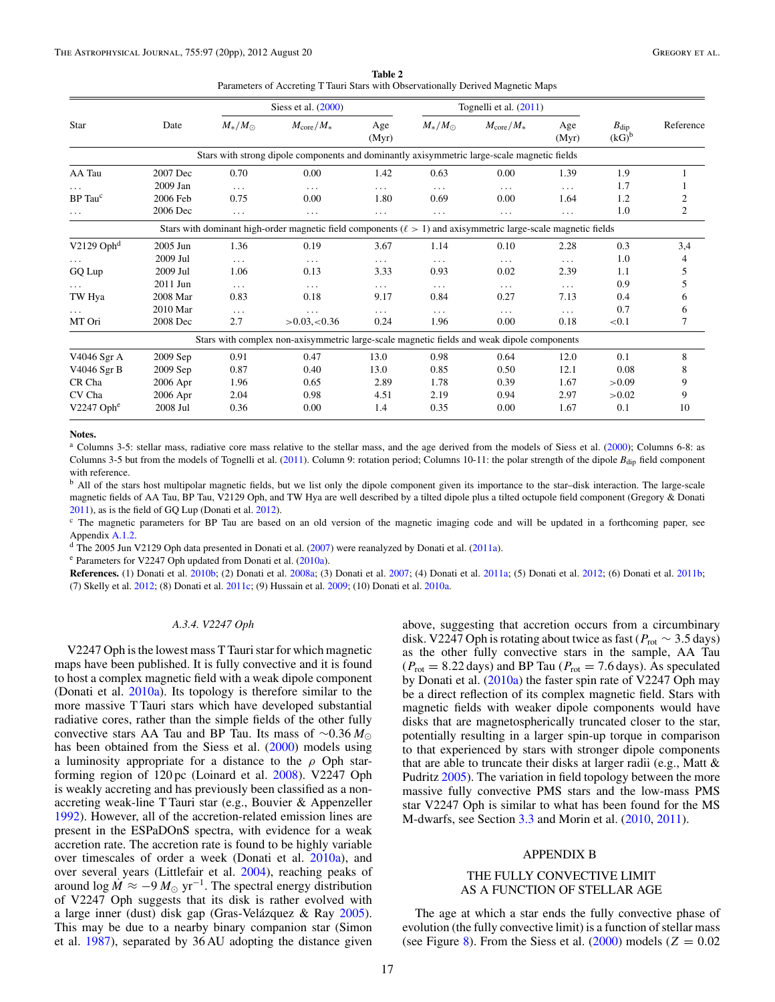**Table 2** Parameters of Accreting T Tauri Stars with Observationally Derived Magnetic Maps

<span id="page-16-0"></span>

| Star                     | Date     | Siess et al. $(2000)$ |                                                                                                                      |              | Tognelli et al. $(2011)$ |                    |              |                           |                |
|--------------------------|----------|-----------------------|----------------------------------------------------------------------------------------------------------------------|--------------|--------------------------|--------------------|--------------|---------------------------|----------------|
|                          |          | $M_{*}/M_{\odot}$     | $M_{\rm core}/M_*$                                                                                                   | Age<br>(Myr) | $M_*/M_{\odot}$          | $M_{\rm core}/M_*$ | Age<br>(Myr) | $B_{\rm dip}$<br>$(kG)^b$ | Reference      |
|                          |          |                       | Stars with strong dipole components and dominantly axisymmetric large-scale magnetic fields                          |              |                          |                    |              |                           |                |
| AA Tau                   | 2007 Dec | 0.70                  | 0.00                                                                                                                 | 1.42         | 0.63                     | 0.00               | 1.39         | 1.9                       |                |
| .                        | 2009 Jan | $\cdots$              | $\cdots$                                                                                                             | .            | $\cdots$                 | $\cdots$           | $\cdots$     | 1.7                       |                |
| BP Tau <sup>c</sup>      | 2006 Feb | 0.75                  | 0.00                                                                                                                 | 1.80         | 0.69                     | 0.00               | 1.64         | 1.2                       | 2              |
| $\cdots$                 | 2006 Dec | $\cdots$              | $\cdots$                                                                                                             | .            | $\cdots$                 | $\cdots$           | $\cdots$     | 1.0                       | $\overline{c}$ |
|                          |          |                       | Stars with dominant high-order magnetic field components ( $\ell > 1$ ) and axisymmetric large-scale magnetic fields |              |                          |                    |              |                           |                |
| $V2129$ Oph <sup>d</sup> | 2005 Jun | 1.36                  | 0.19                                                                                                                 | 3.67         | 1.14                     | 0.10               | 2.28         | 0.3                       | 3,4            |
|                          | 2009 Jul | $\cdots$              | $\cdots$                                                                                                             | .            | $\cdots$                 | $\cdots$           | $\cdots$     | 1.0                       | 4              |
| GQ Lup                   | 2009 Jul | 1.06                  | 0.13                                                                                                                 | 3.33         | 0.93                     | 0.02               | 2.39         | 1.1                       | 5              |
|                          | 2011 Jun | $\cdots$              | .                                                                                                                    | .            | $\cdots$                 | $\cdots$           | .            | 0.9                       | 5              |
| TW Hya                   | 2008 Mar | 0.83                  | 0.18                                                                                                                 | 9.17         | 0.84                     | 0.27               | 7.13         | 0.4                       | 6              |
|                          | 2010 Mar | $\cdots$              | .                                                                                                                    | .            | $\cdots$                 | $\cdots$           | $\cdots$     | 0.7                       | 6              |
| MT Ori                   | 2008 Dec | 2.7                   | >0.03,<0.36                                                                                                          | 0.24         | 1.96                     | 0.00               | 0.18         | ${<}0.1$                  | 7              |
|                          |          |                       | Stars with complex non-axisymmetric large-scale magnetic fields and weak dipole components                           |              |                          |                    |              |                           |                |
| V4046 Sgr A              | 2009 Sep | 0.91                  | 0.47                                                                                                                 | 13.0         | 0.98                     | 0.64               | 12.0         | 0.1                       | 8              |
| V4046 Sgr B              | 2009 Sep | 0.87                  | 0.40                                                                                                                 | 13.0         | 0.85                     | 0.50               | 12.1         | 0.08                      | 8              |
| CR Cha                   | 2006 Apr | 1.96                  | 0.65                                                                                                                 | 2.89         | 1.78                     | 0.39               | 1.67         | > 0.09                    | 9              |
| CV Cha                   | 2006 Apr | 2.04                  | 0.98                                                                                                                 | 4.51         | 2.19                     | 0.94               | 2.97         | > 0.02                    | 9              |
| $V2247$ Ophe             | 2008 Jul | 0.36                  | 0.00                                                                                                                 | 1.4          | 0.35                     | 0.00               | 1.67         | 0.1                       | 10             |

#### **Notes.**

<sup>a</sup> Columns 3-5: stellar mass, radiative core mass relative to the stellar mass, and the age derived from the models of Siess et al. [\(2000\)](#page-19-0); Columns 6-8: as Columns 3-5 but from the models of Tognelli et al. [\(2011\)](#page-19-0). Column 9: rotation period; Columns 10-11: the polar strength of the dipole *B*dip field component with reference.

<sup>b</sup> All of the stars host multipolar magnetic fields, but we list only the dipole component given its importance to the star–disk interaction. The large-scale magnetic fields of AA Tau, BP Tau, V2129 Oph, and TW Hya are well described by a tilted dipole plus a tilted octupole field component (Gregory & Donati [2011\)](#page-18-0), as is the field of GQ Lup (Donati et al. [2012\)](#page-18-0).

<sup>c</sup> The magnetic parameters for BP Tau are based on an old version of the magnetic imaging code and will be updated in a forthcoming paper, see Appendix [A.1.2.](#page-13-0)

<sup>d</sup> The 2005 Jun V2129 Oph data presented in Donati et al. [\(2007\)](#page-18-0) were reanalyzed by Donati et al. [\(2011a\)](#page-18-0).

<sup>e</sup> Parameters for V2247 Oph updated from Donati et al. [\(2010a\)](#page-18-0).

**References.** (1) Donati et al. [2010b;](#page-18-0) (2) Donati et al. [2008a;](#page-18-0) (3) Donati et al. [2007;](#page-18-0) (4) Donati et al. [2011a;](#page-18-0) (5) Donati et al. [2012;](#page-18-0) (6) Donati et al. [2011b;](#page-18-0) (7) Skelly et al. [2012;](#page-19-0) (8) Donati et al. [2011c;](#page-18-0) (9) Hussain et al. [2009;](#page-18-0) (10) Donati et al. [2010a.](#page-18-0)

### *A.3.4. V2247 Oph*

V2247 Oph is the lowest mass T Tauri star for which magnetic maps have been published. It is fully convective and it is found to host a complex magnetic field with a weak dipole component (Donati et al. [2010a\)](#page-18-0). Its topology is therefore similar to the more massive T Tauri stars which have developed substantial radiative cores, rather than the simple fields of the other fully convective stars AA Tau and BP Tau. Its mass of ∼0.36 *M* has been obtained from the Siess et al. [\(2000\)](#page-19-0) models using a luminosity appropriate for a distance to the *ρ* Oph starforming region of 120 pc (Loinard et al. [2008\)](#page-18-0). V2247 Oph is weakly accreting and has previously been classified as a nonaccreting weak-line T Tauri star (e.g., Bouvier & Appenzeller [1992\)](#page-18-0). However, all of the accretion-related emission lines are present in the ESPaDOnS spectra, with evidence for a weak accretion rate. The accretion rate is found to be highly variable over timescales of order a week (Donati et al. [2010a\)](#page-18-0), and over several years (Littlefair et al. [2004\)](#page-18-0), reaching peaks of around log  $\dot{M}$  ≈ −9  $M_{\odot}$  yr<sup>-1</sup>. The spectral energy distribution of V2247 Oph suggests that its disk is rather evolved with a large inner (dust) disk gap (Gras-Velázquez & Ray  $2005$ ). This may be due to a nearby binary companion star (Simon et al. [1987\)](#page-19-0), separated by 36 AU adopting the distance given

above, suggesting that accretion occurs from a circumbinary disk. V2247 Oph is rotating about twice as fast ( $P_{\text{rot}}$  ∼ 3.5 days) as the other fully convective stars in the sample, AA Tau  $(P_{\text{rot}} = 8.22 \text{ days})$  and BP Tau  $(P_{\text{rot}} = 7.6 \text{ days})$ . As speculated by Donati et al. [\(2010a\)](#page-18-0) the faster spin rate of V2247 Oph may be a direct reflection of its complex magnetic field. Stars with magnetic fields with weaker dipole components would have disks that are magnetospherically truncated closer to the star, potentially resulting in a larger spin-up torque in comparison to that experienced by stars with stronger dipole components that are able to truncate their disks at larger radii (e.g., Matt & Pudritz [2005\)](#page-18-0). The variation in field topology between the more massive fully convective PMS stars and the low-mass PMS star V2247 Oph is similar to what has been found for the MS M-dwarfs, see Section [3.3](#page-4-0) and Morin et al. [\(2010,](#page-18-0) [2011\)](#page-18-0).

#### APPENDIX B

# THE FULLY CONVECTIVE LIMIT AS A FUNCTION OF STELLAR AGE

The age at which a star ends the fully convective phase of evolution (the fully convective limit) is a function of stellar mass (see Figure [8\)](#page-17-0). From the Siess et al.  $(2000)$  models  $(Z = 0.02)$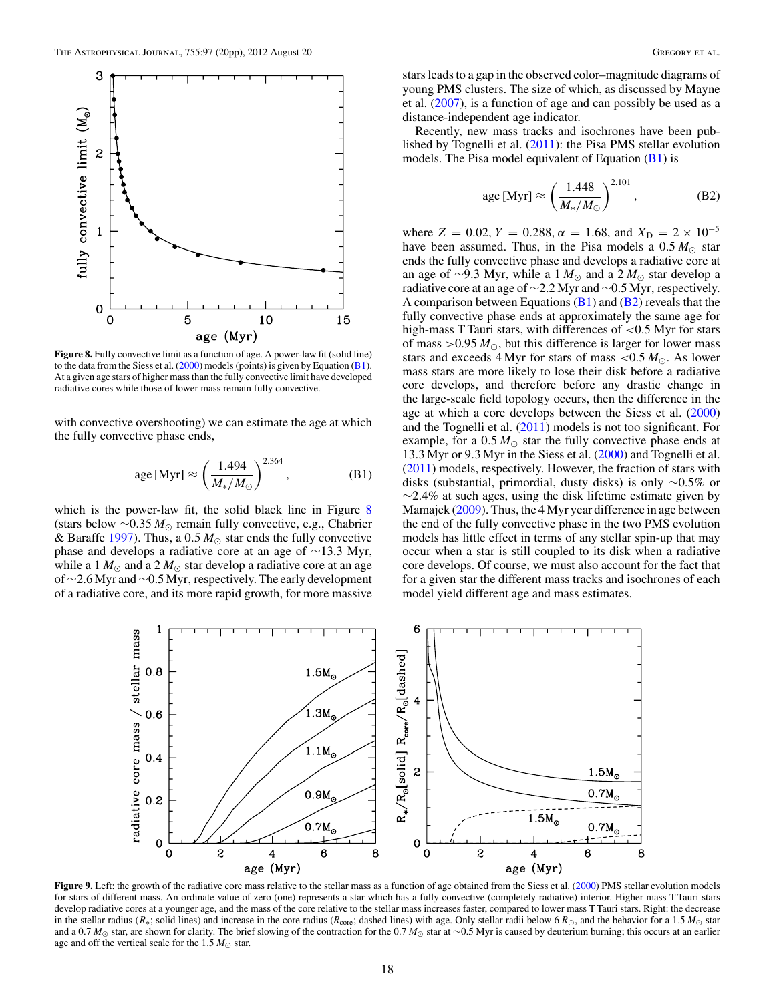<span id="page-17-0"></span>

**Figure 8.** Fully convective limit as a function of age. A power-law fit (solid line) to the data from the Siess et al. [\(2000\)](#page-19-0) models (points) is given by Equation (B1). At a given age stars of higher mass than the fully convective limit have developed radiative cores while those of lower mass remain fully convective.

with convective overshooting) we can estimate the age at which the fully convective phase ends,

age [Myr] 
$$
\approx \left(\frac{1.494}{M_*/M_\odot}\right)^{2.364}
$$
, (B1)

which is the power-law fit, the solid black line in Figure 8 (stars below ∼0.35 *M*<sub>∩</sub> remain fully convective, e.g., Chabrier & Baraffe [1997\)](#page-18-0). Thus, a 0.5  $M_{\odot}$  star ends the fully convective phase and develops a radiative core at an age of ∼13.3 Myr, while a 1  $M_{\odot}$  and a 2  $M_{\odot}$  star develop a radiative core at an age of ∼2.6 Myr and ∼0.5 Myr*,*respectively. The early development of a radiative core, and its more rapid growth, for more massive

stars leads to a gap in the observed color–magnitude diagrams of young PMS clusters. The size of which, as discussed by Mayne et al. [\(2007\)](#page-18-0), is a function of age and can possibly be used as a distance-independent age indicator.

Recently, new mass tracks and isochrones have been published by Tognelli et al. [\(2011\)](#page-19-0): the Pisa PMS stellar evolution models. The Pisa model equivalent of Equation  $(B1)$  is

age [Myr] 
$$
\approx \left(\frac{1.448}{M_*/M_{\odot}}\right)^{2.101}
$$
, (B2)

where  $Z = 0.02$ ,  $Y = 0.288$ ,  $\alpha = 1.68$ , and  $X_D = 2 \times 10^{-5}$ have been assumed. Thus, in the Pisa models a  $0.5 M_{\odot}$  star ends the fully convective phase and develops a radiative core at an age of  $\sim$ 9.3 Myr, while a 1  $M_{\odot}$  and a 2  $M_{\odot}$  star develop a radiative core at an age of ∼2.2 Myr and ∼0.5 Myr*,* respectively. A comparison between Equations  $(B1)$  and  $(B2)$  reveals that the fully convective phase ends at approximately the same age for high-mass T Tauri stars, with differences of *<*0.5 Myr for stars of mass  $>0.95 M_{\odot}$ , but this difference is larger for lower mass stars and exceeds 4 Myr for stars of mass  $\langle 0.5 M_{\odot}$ . As lower mass stars are more likely to lose their disk before a radiative core develops, and therefore before any drastic change in the large-scale field topology occurs, then the difference in the age at which a core develops between the Siess et al. [\(2000\)](#page-19-0) and the Tognelli et al. [\(2011\)](#page-19-0) models is not too significant. For example, for a  $0.5 M_{\odot}$  star the fully convective phase ends at 13*.*3 Myr or 9*.*3 Myr in the Siess et al. [\(2000\)](#page-19-0) and Tognelli et al. [\(2011\)](#page-19-0) models, respectively. However, the fraction of stars with disks (substantial, primordial, dusty disks) is only ∼0.5% or  $\sim$ 2.4% at such ages, using the disk lifetime estimate given by Mamajek [\(2009\)](#page-18-0). Thus, the 4 Myr year difference in age between the end of the fully convective phase in the two PMS evolution models has little effect in terms of any stellar spin-up that may occur when a star is still coupled to its disk when a radiative core develops. Of course, we must also account for the fact that for a given star the different mass tracks and isochrones of each model yield different age and mass estimates.



Figure 9. Left: the growth of the radiative core mass relative to the stellar mass as a function of age obtained from the Siess et al. [\(2000\)](#page-19-0) PMS stellar evolution models for stars of different mass. An ordinate value of zero (one) represents a star which has a fully convective (completely radiative) interior. Higher mass T Tauri stars develop radiative cores at a younger age, and the mass of the core relative to the stellar mass increases faster, compared to lower mass T Tauri stars. Right: the decrease in the stellar radius ( $R_*$ ; solid lines) and increase in the core radius ( $R_{\text{core}}$ ; dashed lines) with age. Only stellar radii below 6  $R_{\odot}$ , and the behavior for a 1.5  $M_{\odot}$  star and a 0.7 *M*<sub>○</sub> star, are shown for clarity. The brief slowing of the contraction for the 0.7 *M*<sub>○</sub> star at ∼0.5 Myr is caused by deuterium burning; this occurs at an earlier age and off the vertical scale for the  $1.5 M_{\odot}$  star.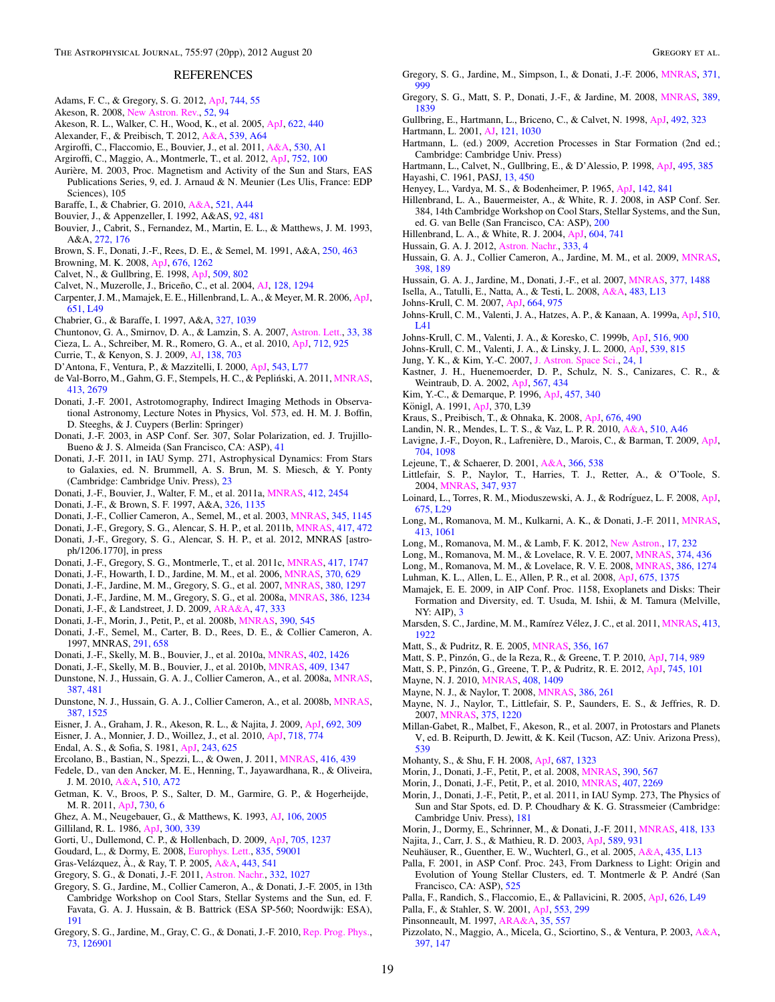#### REFERENCES

- <span id="page-18-0"></span>Adams, F. C., & Gregory, S. G. 2012, [ApJ,](http://dx.doi.org/10.1088/0004-637X/744/1/55) [744, 55](http://adsabs.harvard.edu/abs/2012ApJ...744...55A)
- Akeson, R. 2008, [New Astron. Rev.,](http://dx.doi.org/10.1016/j.newar.2008.04.006) [52, 94](http://adsabs.harvard.edu/abs/2008NewAR..52...94A)
- Akeson, R. L., Walker, C. H., Wood, K., et al. 2005, [ApJ,](http://dx.doi.org/10.1086/427770) [622, 440](http://adsabs.harvard.edu/abs/2005ApJ...622..440A)
- Alexander, F., & Preibisch, T. 2012, [A&A,](http://dx.doi.org/10.1051/0004-6361/201118100) [539, A64](http://adsabs.harvard.edu/abs/2012A&A...539A..64A)
- Argiroffi, C., Flaccomio, E., Bouvier, J., et al. 2011, [A&A,](http://dx.doi.org/10.1051/0004-6361/201016321) [530, A1](http://adsabs.harvard.edu/abs/2011A&A...530A...1A)
- Argiroffi, C., Maggio, A., Montmerle, T., et al. 2012, [ApJ,](http://dx.doi.org/10.1088/0004-637X/752/2/100) [752, 100](http://adsabs.harvard.edu/abs/2012ApJ...752..100A)
- Aurière, M. 2003, Proc. Magnetism and Activity of the Sun and Stars, EAS Publications Series, 9, ed. J. Arnaud & N. Meunier (Les Ulis, France: EDP Sciences), 105
- Baraffe, I., & Chabrier, G. 2010, [A&A,](http://dx.doi.org/10.1051/0004-6361/201014979) [521, A44](http://adsabs.harvard.edu/abs/2010A&A...521A..44B)
- Bouvier, J., & Appenzeller, I. 1992, A&AS, [92, 481](http://adsabs.harvard.edu/abs/1992A&AS...92..481B)
- Bouvier, J., Cabrit, S., Fernandez, M., Martin, E. L., & Matthews, J. M. 1993, A&A, [272, 176](http://adsabs.harvard.edu/abs/1993A&A...272..176B)
- Brown, S. F., Donati, J.-F., Rees, D. E., & Semel, M. 1991, A&A, [250, 463](http://adsabs.harvard.edu/abs/1991A&A...250..463B)
- Browning, M. K. 2008, [ApJ,](http://dx.doi.org/10.1086/527432) [676, 1262](http://adsabs.harvard.edu/abs/2008ApJ...676.1262B)
- Calvet, N., & Gullbring, E. 1998, [ApJ,](http://dx.doi.org/10.1086/306527) [509, 802](http://adsabs.harvard.edu/abs/1998ApJ...509..802C)
- Calvet, N., Muzerolle, J., Briceño, C., et al. 2004, [AJ,](http://dx.doi.org/10.1086/422733) [128, 1294](http://adsabs.harvard.edu/abs/2004AJ....128.1294C)
- Carpenter, J. M., Mamajek, E. E., Hillenbrand, L. A., & Meyer, M. R. 2006, [ApJ,](http://dx.doi.org/10.1086/509121) [651, L49](http://adsabs.harvard.edu/abs/2006ApJ...651L..49C)
- Chabrier, G., & Baraffe, I. 1997, A&A, [327, 1039](http://adsabs.harvard.edu/abs/1997A&A...327.1039C)
- Chuntonov, G. A., Smirnov, D. A., & Lamzin, S. A. 2007, [Astron. Lett.,](http://dx.doi.org/10.1134/S1063773707010057) [33, 38](http://adsabs.harvard.edu/abs/2007AstL...33...38C)
- Cieza, L. A., Schreiber, M. R., Romero, G. A., et al. 2010, [ApJ,](http://dx.doi.org/10.1088/0004-637X/712/2/925) [712, 925](http://adsabs.harvard.edu/abs/2010ApJ...712..925C)
- Currie, T., & Kenyon, S. J. 2009, [AJ,](http://dx.doi.org/10.1088/0004-6256/138/3/703) [138, 703](http://adsabs.harvard.edu/abs/2009AJ....138..703C)
- D'Antona, F., Ventura, P., & Mazzitelli, I. 2000, [ApJ,](http://dx.doi.org/10.1086/318172) [543, L77](http://adsabs.harvard.edu/abs/2000ApJ...543L..77D)
- de Val-Borro, M., Gahm, G. F., Stempels, H. C., & Pepliński, A. 2011, *MNRAS*, [413, 2679](http://adsabs.harvard.edu/abs/2011MNRAS.413.2679D)
- Donati, J.-F. 2001, Astrotomography, Indirect Imaging Methods in Observational Astronomy, Lecture Notes in Physics, Vol. 573, ed. H. M. J. Boffin, D. Steeghs, & J. Cuypers (Berlin: Springer)
- Donati, J.-F. 2003, in ASP Conf. Ser. 307, Solar Polarization, ed. J. Trujillo-Bueno & J. S. Almeida (San Francisco, CA: ASP), [41](http://adsabs.harvard.edu/abs/2003ASPC..307...41D)
- Donati, J.-F. 2011, in IAU Symp. 271, Astrophysical Dynamics: From Stars to Galaxies, ed. N. Brummell, A. S. Brun, M. S. Miesch, & Y. Ponty (Cambridge: Cambridge Univ. Press), [23](http://adsabs.harvard.edu/abs/2011IAUS..271...23D)
- Donati, J.-F., Bouvier, J., Walter, F. M., et al. 2011a, [MNRAS,](http://dx.doi.org/10.1111/j.1365-2966.2010.18069.x) [412, 2454](http://adsabs.harvard.edu/abs/2011MNRAS.412.2454D)
- Donati, J.-F., & Brown, S. F. 1997, A&A, [326, 1135](http://adsabs.harvard.edu/abs/1997A&A...326.1135D)
- Donati, J.-F., Collier Cameron, A., Semel, M., et al. 2003, [MNRAS,](http://dx.doi.org/10.1046/j.1365-2966.2003.07031.x) [345, 1145](http://adsabs.harvard.edu/abs/2003MNRAS.345.1145D)
- Donati, J.-F., Gregory, S. G., Alencar, S. H. P., et al. 2011b, [MNRAS,](http://dx.doi.org/10.1111/j.1365-2966.2011.19288.x) [417, 472](http://adsabs.harvard.edu/abs/2011MNRAS.417..472D)
- Donati, J.-F., Gregory, S. G., Alencar, S. H. P., et al. 2012, MNRAS [astroph/1206.1770], in press
- Donati, J.-F., Gregory, S. G., Montmerle, T., et al. 2011c, [MNRAS,](http://dx.doi.org/10.1111/j.1365-2966.2011.19366.x) [417, 1747](http://adsabs.harvard.edu/abs/2011MNRAS.417.1747D)
- Donati, J.-F., Howarth, I. D., Jardine, M. M., et al. 2006, [MNRAS,](http://dx.doi.org/10.1111/j.1365-2966.2006.10558.x) [370, 629](http://adsabs.harvard.edu/abs/2006MNRAS.370..629D)
- Donati, J.-F., Jardine, M. M., Gregory, S. G., et al. 2007, [MNRAS,](http://dx.doi.org/10.1111/j.1365-2966.2007.12194.x) [380, 1297](http://adsabs.harvard.edu/abs/2007MNRAS.380.1297D)
- Donati, J.-F., Jardine, M. M., Gregory, S. G., et al. 2008a, [MNRAS,](http://dx.doi.org/10.1111/j.1365-2966.2008.13111.x) [386, 1234](http://adsabs.harvard.edu/abs/2008MNRAS.386.1234D)
- Donati, J.-F., & Landstreet, J. D. 2009, [ARA&A,](http://dx.doi.org/10.1146/annurev-astro-082708-101833) [47, 333](http://adsabs.harvard.edu/abs/2009ARA&A..47..333D)
- Donati, J.-F., Morin, J., Petit, P., et al. 2008b, [MNRAS,](http://dx.doi.org/10.1111/j.1365-2966.2008.13799.x) [390, 545](http://adsabs.harvard.edu/abs/2008MNRAS.390..545D)
- Donati, J.-F., Semel, M., Carter, B. D., Rees, D. E., & Collier Cameron, A. 1997, MNRAS, [291, 658](http://adsabs.harvard.edu/abs/1997MNRAS.291..658D)
- Donati, J.-F., Skelly, M. B., Bouvier, J., et al. 2010a, [MNRAS,](http://dx.doi.org/10.1111/j.1365-2966.2009.15998.x) [402, 1426](http://adsabs.harvard.edu/abs/2010MNRAS.402.1426D)
- Donati, J.-F., Skelly, M. B., Bouvier, J., et al. 2010b, [MNRAS,](http://dx.doi.org/10.1111/j.1365-2966.2010.17409.x) [409, 1347](http://adsabs.harvard.edu/abs/2010MNRAS.409.1347D)
- Dunstone, N. J., Hussain, G. A. J., Collier Cameron, A., et al. 2008a, [MNRAS,](http://dx.doi.org/10.1111/j.1365-2966.2008.13196.x) [387, 481](http://adsabs.harvard.edu/abs/2008MNRAS.387..481D)
- Dunstone, N. J., Hussain, G. A. J., Collier Cameron, A., et al. 2008b, [MNRAS,](http://dx.doi.org/10.1111/j.1365-2966.2008.13338.x) [387, 1525](http://adsabs.harvard.edu/abs/2008MNRAS.387.1525D)
- Eisner, J. A., Graham, J. R., Akeson, R. L., & Najita, J. 2009, [ApJ,](http://dx.doi.org/10.1088/0004-637X/692/1/309) [692, 309](http://adsabs.harvard.edu/abs/2009ApJ...692..309E)
- Eisner, J. A., Monnier, J. D., Woillez, J., et al. 2010, [ApJ,](http://dx.doi.org/10.1088/0004-637X/718/2/774) [718, 774](http://adsabs.harvard.edu/abs/2010ApJ...718..774E)
- Endal, A. S., & Sofia, S. 1981, [ApJ,](http://dx.doi.org/10.1086/158628) [243, 625](http://adsabs.harvard.edu/abs/1981ApJ...243..625E)
- Ercolano, B., Bastian, N., Spezzi, L., & Owen, J. 2011, [MNRAS,](http://dx.doi.org/10.1111/j.1365-2966.2011.19051.x) [416, 439](http://adsabs.harvard.edu/abs/2011MNRAS.416..439E)
- Fedele, D., van den Ancker, M. E., Henning, T., Jayawardhana, R., & Oliveira, J. M. 2010, [A&A,](http://dx.doi.org/10.1051/0004-6361/200912810) [510, A72](http://adsabs.harvard.edu/abs/2010A&A...510A..72F)
- Getman, K. V., Broos, P. S., Salter, D. M., Garmire, G. P., & Hogerheijde, M. R. 2011, [ApJ,](http://dx.doi.org/10.1088/0004-637X/730/1/6) [730, 6](http://adsabs.harvard.edu/abs/2011ApJ...730....6G)
- Ghez, A. M., Neugebauer, G., & Matthews, K. 1993, [AJ,](http://dx.doi.org/10.1086/116782) [106, 2005](http://adsabs.harvard.edu/abs/1993AJ....106.2005G)
- Gilliland, R. L. 1986, [ApJ,](http://dx.doi.org/10.1086/163807) [300, 339](http://adsabs.harvard.edu/abs/1986ApJ...300..339G)
- Gorti, U., Dullemond, C. P., & Hollenbach, D. 2009, [ApJ,](http://dx.doi.org/10.1088/0004-637X/705/2/1237) [705, 1237](http://adsabs.harvard.edu/abs/2009ApJ...705.1237G)
- Goudard, L., & Dormy, E. 2008, [Europhys. Lett.,](http://dx.doi.org/10.1209/0295-5075/83/59001) [835, 59001](http://adsabs.harvard.edu/abs/2008EL.....8359001G)
- Gras-Velázquez, À., & Ray, T. P. 2005, [A&A,](http://dx.doi.org/10.1051/0004-6361:20042397) [443, 541](http://adsabs.harvard.edu/abs/2005A&A...443..541G)
- Gregory, S. G., & Donati, J.-F. 2011, [Astron. Nachr.,](http://dx.doi.org/10.1002/asna.201111621) [332, 1027](http://adsabs.harvard.edu/abs/2011AN....332.1027G)
- Gregory, S. G., Jardine, M., Collier Cameron, A., & Donati, J.-F. 2005, in 13th Cambridge Workshop on Cool Stars, Stellar Systems and the Sun, ed. F. Favata, G. A. J. Hussain, & B. Battrick (ESA SP-560; Noordwijk: ESA), [191](http://adsabs.harvard.edu/abs/2005ESASP.560..191G)
- Gregory, S. G., Jardine, M., Gray, C. G., & Donati, J.-F. 2010, [Rep. Prog. Phys.,](http://dx.doi.org/10.1088/0034-4885/73/12/126901) [73, 126901](http://adsabs.harvard.edu/abs/2010RPPh...73l6901G)
- Gregory, S. G., Jardine, M., Simpson, I., & Donati, J.-F. 2006, [MNRAS,](http://dx.doi.org/10.1111/j.1365-2966.2006.10734.x) [371,](http://adsabs.harvard.edu/abs/2006MNRAS.371..999G) [999](http://adsabs.harvard.edu/abs/2006MNRAS.371..999G)
- Gregory, S. G., Matt, S. P., Donati, J.-F., & Jardine, M. 2008, [MNRAS,](http://dx.doi.org/10.1111/j.1365-2966.2008.13687.x) [389,](http://adsabs.harvard.edu/abs/2008MNRAS.389.1839G) [1839](http://adsabs.harvard.edu/abs/2008MNRAS.389.1839G)
- Gullbring, E., Hartmann, L., Briceno, C., & Calvet, N. 1998, [ApJ,](http://dx.doi.org/10.1086/305032) [492, 323](http://adsabs.harvard.edu/abs/1998ApJ...492..323G)
- Hartmann, L. 2001, [AJ,](http://dx.doi.org/10.1086/318770) [121, 1030](http://adsabs.harvard.edu/abs/2001AJ....121.1030H)
- Hartmann, L. (ed.) 2009, Accretion Processes in Star Formation (2nd ed.; Cambridge: Cambridge Univ. Press)
- Hartmann, L., Calvet, N., Gullbring, E., & D'Alessio, P. 1998, [ApJ,](http://dx.doi.org/10.1086/305277) [495, 385](http://adsabs.harvard.edu/abs/1998ApJ...495..385H)
- Hayashi, C. 1961, PASJ, [13, 450](http://adsabs.harvard.edu/abs/1961PASJ...13..450H)
- Henyey, L., Vardya, M. S., & Bodenheimer, P. 1965, [ApJ,](http://dx.doi.org/10.1086/148357) [142, 841](http://adsabs.harvard.edu/abs/1965ApJ...142..841H)
- Hillenbrand, L. A., Bauermeister, A., & White, R. J. 2008, in ASP Conf. Ser. 384, 14th Cambridge Workshop on Cool Stars, Stellar Systems, and the Sun, ed. G. van Belle (San Francisco, CA: ASP), [200](http://adsabs.harvard.edu/abs/2008ASPC..384..200H)
- Hillenbrand, L. A., & White, R. J. 2004, [ApJ,](http://dx.doi.org/10.1086/382021) [604, 741](http://adsabs.harvard.edu/abs/2004ApJ...604..741H)
- Hussain, G. A. J. 2012, [Astron. Nachr.,](http://dx.doi.org/10.1002/asna.201111627) [333, 4](http://adsabs.harvard.edu/abs/2012AN....333....4H)
- Hussain, G. A. J., Collier Cameron, A., Jardine, M. M., et al. 2009, [MNRAS,](http://dx.doi.org/10.1111/j.1365-2966.2009.14881.x) [398, 189](http://adsabs.harvard.edu/abs/2009MNRAS.398..189H)
- Hussain, G. A. J., Jardine, M., Donati, J.-F., et al. 2007, [MNRAS,](http://dx.doi.org/10.1111/j.1365-2966.2007.11692.x) [377, 1488](http://adsabs.harvard.edu/abs/2007MNRAS.377.1488H)
- Isella, A., Tatulli, E., Natta, A., & Testi, L. 2008, [A&A,](http://dx.doi.org/10.1051/0004-6361:200809641) [483, L13](http://adsabs.harvard.edu/abs/2008A&A...483L..13I)
- Johns-Krull, C. M. 2007, [ApJ,](http://dx.doi.org/10.1086/519017) [664, 975](http://adsabs.harvard.edu/abs/2007ApJ...664..975J)
- Johns-Krull, C. M., Valenti, J. A., Hatzes, A. P., & Kanaan, A. 1999a, [ApJ,](http://dx.doi.org/10.1086/311802) [510,](http://adsabs.harvard.edu/abs/1999ApJ...510L..41J) [L41](http://adsabs.harvard.edu/abs/1999ApJ...510L..41J)
- Johns-Krull, C. M., Valenti, J. A., & Koresko, C. 1999b, [ApJ,](http://dx.doi.org/10.1086/307128) [516, 900](http://adsabs.harvard.edu/abs/1999ApJ...516..900J)
- Johns-Krull, C. M., Valenti, J. A., & Linsky, J. L. 2000, [ApJ,](http://dx.doi.org/10.1086/309259) [539, 815](http://adsabs.harvard.edu/abs/2000ApJ...539..815J)
- Jung, Y. K., & Kim, Y.-C. 2007, [J. Astron. Space Sci.,](http://dx.doi.org/10.5140/JASS.2007.24.1.001) [24, 1](http://adsabs.harvard.edu/abs/2007JASS...24....1J)
- Kastner, J. H., Huenemoerder, D. P., Schulz, N. S., Canizares, C. R., & Weintraub, D. A. 2002, [ApJ,](http://dx.doi.org/10.1086/338419) [567, 434](http://adsabs.harvard.edu/abs/2002ApJ...567..434K)
- Kim, Y.-C., & Demarque, P. 1996, [ApJ,](http://dx.doi.org/10.1086/176733) [457, 340](http://adsabs.harvard.edu/abs/1996ApJ...457..340K)
- Königl, A. 1991, [ApJ,](http://dx.doi.org/10.1086/185972) 370, L39
- Kraus, S., Preibisch, T., & Ohnaka, K. 2008, [ApJ,](http://dx.doi.org/10.1086/527427) [676, 490](http://adsabs.harvard.edu/abs/2008ApJ...676..490K)
- Landin, N. R., Mendes, L. T. S., & Vaz, L. P. R. 2010, [A&A,](http://dx.doi.org/10.1051/0004-6361/200913015) [510, A46](http://adsabs.harvard.edu/abs/2010A&A...510A..46L)
- Lavigne, J.-F., Doyon, R., Lafrenière, D., Marois, C., & Barman, T. 2009, [ApJ,](http://dx.doi.org/10.1088/0004-637X/704/2/1098) [704, 1098](http://adsabs.harvard.edu/abs/2009ApJ...704.1098L)
- Lejeune, T., & Schaerer, D. 2001, [A&A,](http://dx.doi.org/10.1051/0004-6361:20000214) [366, 538](http://adsabs.harvard.edu/abs/2001A&A...366..538L)
- Littlefair, S. P., Naylor, T., Harries, T. J., Retter, A., & O'Toole, S. 2004, [MNRAS,](http://dx.doi.org/10.1111/j.1365-2966.2004.07263.x) [347, 937](http://adsabs.harvard.edu/abs/2004MNRAS.347..937L)
- Loinard, L., Torres, R. M., Mioduszewski, A. J., & Rodríguez, L. F. 2008, [ApJ,](http://dx.doi.org/10.1086/529548) [675, L29](http://adsabs.harvard.edu/abs/2008ApJ...675L..29L)
- Long, M., Romanova, M. M., Kulkarni, A. K., & Donati, J.-F. 2011, [MNRAS,](http://dx.doi.org/10.1111/j.1365-2966.2010.18193.x) [413, 1061](http://adsabs.harvard.edu/abs/2011MNRAS.413.1061L)
- Long, M., Romanova, M. M., & Lamb, F. K. 2012, [New Astron.,](http://dx.doi.org/10.1016/j.newast.2011.08.001) [17, 232](http://adsabs.harvard.edu/abs/2012NewA...17..232L)
- Long, M., Romanova, M. M., & Lovelace, R. V. E. 2007, [MNRAS,](http://dx.doi.org/10.1111/j.1365-2966.2006.11192.x) [374, 436](http://adsabs.harvard.edu/abs/2007MNRAS.374..436L)
- Long, M., Romanova, M. M., & Lovelace, R. V. E. 2008, [MNRAS,](http://dx.doi.org/10.1111/j.1365-2966.2008.13124.x) [386, 1274](http://adsabs.harvard.edu/abs/2008MNRAS.386.1274L)
- Luhman, K. L., Allen, L. E., Allen, P. R., et al. 2008, [ApJ,](http://dx.doi.org/10.1086/527347) [675, 1375](http://adsabs.harvard.edu/abs/2008ApJ...675.1375L)
- Mamajek, E. E. 2009, in AIP Conf. Proc. 1158, Exoplanets and Disks: Their Formation and Diversity, ed. T. Usuda, M. Ishii, & M. Tamura (Melville, NY: AIP), [3](http://adsabs.harvard.edu/abs/2009AIPC.1158....3M)
- Marsden, S. C., Jardine, M. M., Ramírez Vélez, J. C., et al. 2011, *MNRAS*, [413,](http://adsabs.harvard.edu/abs/2011MNRAS.413.1922M) [1922](http://adsabs.harvard.edu/abs/2011MNRAS.413.1922M)
- Matt, S., & Pudritz, R. E. 2005, [MNRAS,](http://dx.doi.org/10.1111/j.1365-2966.2004.08431.x) [356, 167](http://adsabs.harvard.edu/abs/2005MNRAS.356..167M)
- Matt, S. P., Pinzón, G., de la Reza, R., & Greene, T. P. 2010, [ApJ,](http://dx.doi.org/10.1088/0004-637X/714/2/989) [714, 989](http://adsabs.harvard.edu/abs/2010ApJ...714..989M)
- Matt, S. P., Pinzón, G., Greene, T. P., & Pudritz, R. E. 2012, [ApJ,](http://dx.doi.org/10.1088/0004-637X/745/1/101) [745, 101](http://adsabs.harvard.edu/abs/2012ApJ...745..101M)
- Mayne, N. J. 2010, [MNRAS,](http://dx.doi.org/10.1111/j.1365-2966.2010.17245.x) [408, 1409](http://adsabs.harvard.edu/abs/2010MNRAS.408.1409M)
- Mayne, N. J., & Naylor, T. 2008, [MNRAS,](http://dx.doi.org/10.1111/j.1365-2966.2008.13025.x) [386, 261](http://adsabs.harvard.edu/abs/2008MNRAS.386..261M)
- Mayne, N. J., Naylor, T., Littlefair, S. P., Saunders, E. S., & Jeffries, R. D. 2007, [MNRAS,](http://dx.doi.org/10.1111/j.1365-2966.2006.11347.x) [375, 1220](http://adsabs.harvard.edu/abs/2007MNRAS.375.1220M)
- Millan-Gabet, R., Malbet, F., Akeson, R., et al. 2007, in Protostars and Planets V, ed. B. Reipurth, D. Jewitt, & K. Keil (Tucson, AZ: Univ. Arizona Press), [539](http://adsabs.harvard.edu/abs/2007prpl.conf..539M)

Morin, J., Donati, J.-F., Petit, P., et al. 2011, in IAU Symp. 273, The Physics of Sun and Star Spots, ed. D. P. Choudhary & K. G. Strassmeier (Cambridge:

Morin, J., Dormy, E., Schrinner, M., & Donati, J.-F. 2011, [MNRAS,](http://dx.doi.org/10.1111/j.1745-3933.2011.01159.x) [418, 133](http://adsabs.harvard.edu/abs/2011MNRAS.418L.133M)

Neuhäuser, R., Guenther, E. W., Wuchterl, G., et al. 2005, [A&A,](http://dx.doi.org/10.1051/0004-6361:200500104) [435, L13](http://adsabs.harvard.edu/abs/2005A&A...435L..13N) Palla, F. 2001, in ASP Conf. Proc. 243, From Darkness to Light: Origin and Evolution of Young Stellar Clusters, ed. T. Montmerle & P. Andre (San ´

Palla, F., Randich, S., Flaccomio, E., & Pallavicini, R. 2005, [ApJ,](http://dx.doi.org/10.1086/431668) [626, L49](http://adsabs.harvard.edu/abs/2005ApJ...626L..49P)

Pizzolato, N., Maggio, A., Micela, G., Sciortino, S., & Ventura, P. 2003, [A&A,](http://dx.doi.org/10.1051/0004-6361:20021560)

Mohanty, S., & Shu, F. H. 2008, [ApJ,](http://dx.doi.org/10.1086/591924) [687, 1323](http://adsabs.harvard.edu/abs/2008ApJ...687.1323M)

Cambridge Univ. Press), [181](http://adsabs.harvard.edu/abs/2011IAUS..273..181M)

Francisco, CA: ASP), [525](http://adsabs.harvard.edu/abs/2001ASPC..243..525P)

[397, 147](http://adsabs.harvard.edu/abs/2003A&A...397..147P)

19

Palla, F., & Stahler, S. W. 2001, [ApJ,](http://dx.doi.org/10.1086/320658) [553, 299](http://adsabs.harvard.edu/abs/2001ApJ...553..299P) Pinsonneault, M. 1997, [ARA&A,](http://dx.doi.org/10.1146/annurev.astro.35.1.557) [35, 557](http://adsabs.harvard.edu/abs/1997ARA&A..35..557P)

Morin, J., Donati, J.-F., Petit, P., et al. 2008, [MNRAS,](http://dx.doi.org/10.1111/j.1365-2966.2008.13809.x) [390, 567](http://adsabs.harvard.edu/abs/2008MNRAS.390..567M) Morin, J., Donati, J.-F., Petit, P., et al. 2010, [MNRAS,](http://dx.doi.org/10.1111/j.1365-2966.2010.17101.x) [407, 2269](http://adsabs.harvard.edu/abs/2010MNRAS.407.2269M)

Najita, J., Carr, J. S., & Mathieu, R. D. 2003, [ApJ,](http://dx.doi.org/10.1086/374809) [589, 931](http://adsabs.harvard.edu/abs/2003ApJ...589..931N)